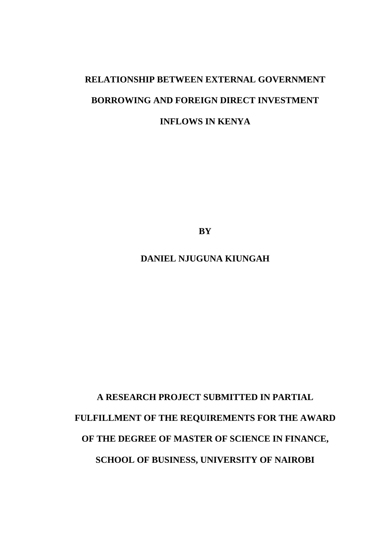# **RELATIONSHIP BETWEEN EXTERNAL GOVERNMENT BORROWING AND FOREIGN DIRECT INVESTMENT INFLOWS IN KENYA**

**BY**

**DANIEL NJUGUNA KIUNGAH**

**A RESEARCH PROJECT SUBMITTED IN PARTIAL FULFILLMENT OF THE REQUIREMENTS FOR THE AWARD OF THE DEGREE OF MASTER OF SCIENCE IN FINANCE, SCHOOL OF BUSINESS, UNIVERSITY OF NAIROBI**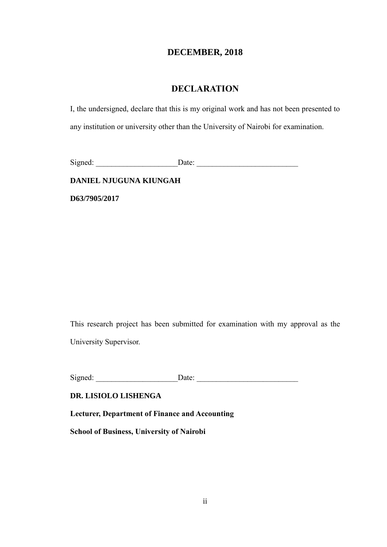### **DECEMBER, 2018**

## **DECLARATION**

<span id="page-1-0"></span>I, the undersigned, declare that this is my original work and has not been presented to any institution or university other than the University of Nairobi for examination.

Signed: \_\_\_\_\_\_\_\_\_\_\_\_\_\_\_\_\_\_\_\_\_Date: \_\_\_\_\_\_\_\_\_\_\_\_\_\_\_\_\_\_\_\_\_\_\_\_\_\_

**DANIEL NJUGUNA KIUNGAH**

**D63/7905/2017**

This research project has been submitted for examination with my approval as the University Supervisor.

Signed: \_\_\_\_\_\_\_\_\_\_\_\_\_\_\_\_\_\_\_\_\_Date: \_\_\_\_\_\_\_\_\_\_\_\_\_\_\_\_\_\_\_\_\_\_\_\_\_\_

### **DR. LISIOLO LISHENGA**

**Lecturer, Department of Finance and Accounting**

**School of Business, University of Nairobi**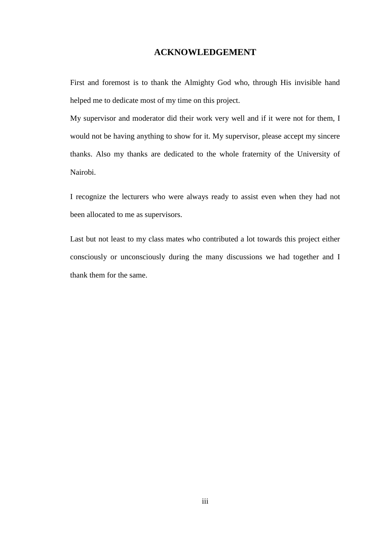### **ACKNOWLEDGEMENT**

<span id="page-2-0"></span>First and foremost is to thank the Almighty God who, through His invisible hand helped me to dedicate most of my time on this project.

My supervisor and moderator did their work very well and if it were not for them, I would not be having anything to show for it. My supervisor, please accept my sincere thanks. Also my thanks are dedicated to the whole fraternity of the University of Nairobi.

I recognize the lecturers who were always ready to assist even when they had not been allocated to me as supervisors.

Last but not least to my class mates who contributed a lot towards this project either consciously or unconsciously during the many discussions we had together and I thank them for the same.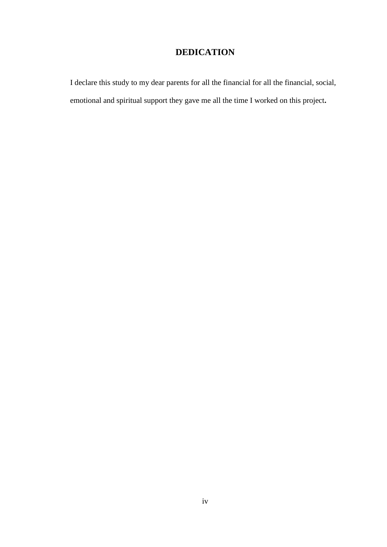# **DEDICATION**

<span id="page-3-0"></span>I declare this study to my dear parents for all the financial for all the financial, social, emotional and spiritual support they gave me all the time I worked on this project**.**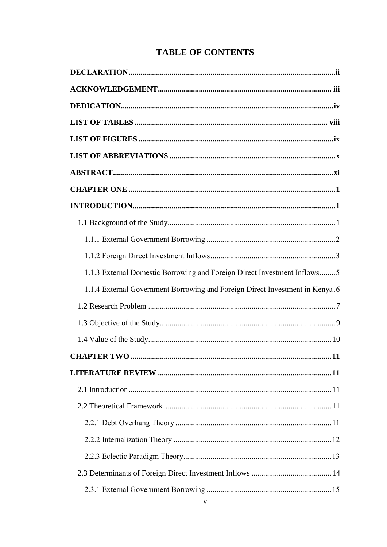# **TABLE OF CONTENTS**

| 1.1.3 External Domestic Borrowing and Foreign Direct Investment Inflows5     |
|------------------------------------------------------------------------------|
| 1.1.4 External Government Borrowing and Foreign Direct Investment in Kenya.6 |
|                                                                              |
|                                                                              |
|                                                                              |
|                                                                              |
|                                                                              |
|                                                                              |
|                                                                              |
|                                                                              |
|                                                                              |
|                                                                              |
|                                                                              |
|                                                                              |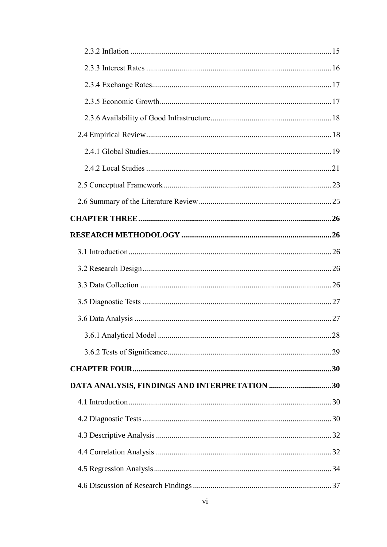| 3.6.1 Analytical Model                        | 28 |
|-----------------------------------------------|----|
|                                               |    |
|                                               |    |
| DATA ANALYSIS, FINDINGS AND INTERPRETATION 30 |    |
|                                               |    |
|                                               |    |
|                                               |    |
|                                               |    |
|                                               |    |
|                                               |    |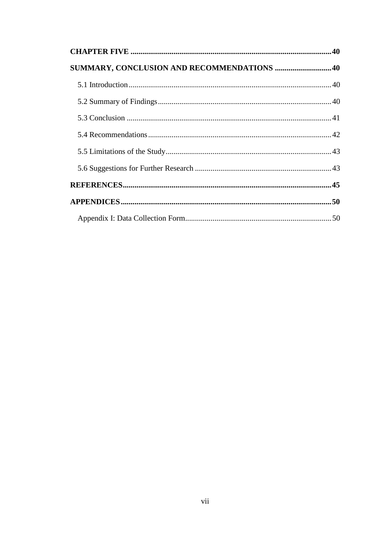| SUMMARY, CONCLUSION AND RECOMMENDATIONS 40 |  |
|--------------------------------------------|--|
|                                            |  |
|                                            |  |
|                                            |  |
|                                            |  |
|                                            |  |
|                                            |  |
|                                            |  |
|                                            |  |
|                                            |  |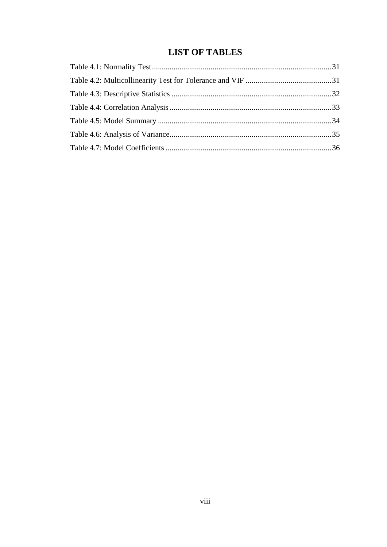# **LIST OF TABLES**

<span id="page-7-0"></span>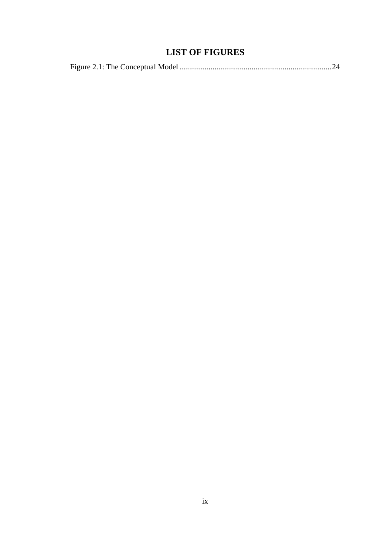# **LIST OF FIGURES**

<span id="page-8-0"></span>

|--|--|--|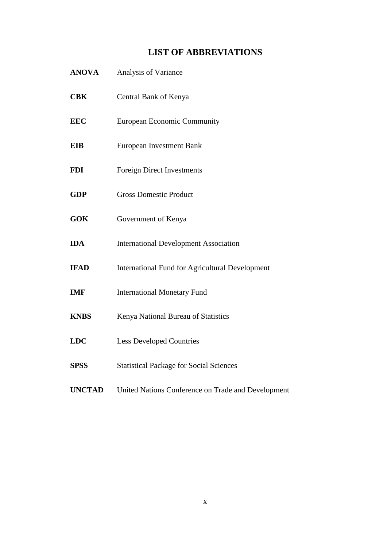# **LIST OF ABBREVIATIONS**

<span id="page-9-0"></span>

| <b>ANOVA</b>  | Analysis of Variance                                   |
|---------------|--------------------------------------------------------|
| <b>CBK</b>    | Central Bank of Kenya                                  |
| <b>EEC</b>    | <b>European Economic Community</b>                     |
| <b>EIB</b>    | <b>European Investment Bank</b>                        |
| <b>FDI</b>    | <b>Foreign Direct Investments</b>                      |
| <b>GDP</b>    | <b>Gross Domestic Product</b>                          |
| <b>GOK</b>    | Government of Kenya                                    |
| <b>IDA</b>    | <b>International Development Association</b>           |
| <b>IFAD</b>   | <b>International Fund for Agricultural Development</b> |
| <b>IMF</b>    | <b>International Monetary Fund</b>                     |
| <b>KNBS</b>   | Kenya National Bureau of Statistics                    |
| <b>LDC</b>    | <b>Less Developed Countries</b>                        |
| <b>SPSS</b>   | <b>Statistical Package for Social Sciences</b>         |
| <b>UNCTAD</b> | United Nations Conference on Trade and Development     |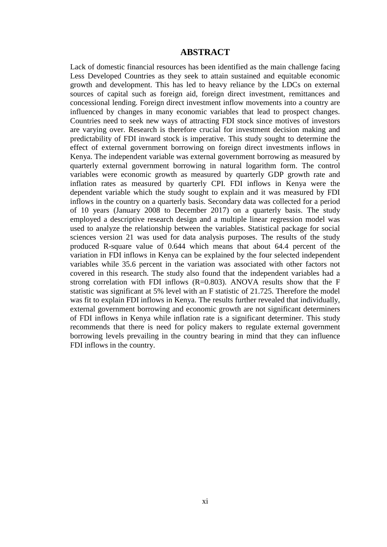### **ABSTRACT**

<span id="page-10-0"></span>Lack of domestic financial resources has been identified as the main challenge facing Less Developed Countries as they seek to attain sustained and equitable economic growth and development. This has led to heavy reliance by the LDCs on external sources of capital such as foreign aid, foreign direct investment, remittances and concessional lending. Foreign direct investment inflow movements into a country are influenced by changes in many economic variables that lead to prospect changes. Countries need to seek new ways of attracting FDI stock since motives of investors are varying over. Research is therefore crucial for investment decision making and predictability of FDI inward stock is imperative. This study sought to determine the effect of external government borrowing on foreign direct investments inflows in Kenya. The independent variable was external government borrowing as measured by quarterly external government borrowing in natural logarithm form. The control variables were economic growth as measured by quarterly GDP growth rate and inflation rates as measured by quarterly CPI. FDI inflows in Kenya were the dependent variable which the study sought to explain and it was measured by FDI inflows in the country on a quarterly basis. Secondary data was collected for a period of 10 years (January 2008 to December 2017) on a quarterly basis. The study employed a descriptive research design and a multiple linear regression model was used to analyze the relationship between the variables. Statistical package for social sciences version 21 was used for data analysis purposes. The results of the study produced R-square value of 0.644 which means that about 64.4 percent of the variation in FDI inflows in Kenya can be explained by the four selected independent variables while 35.6 percent in the variation was associated with other factors not covered in this research. The study also found that the independent variables had a strong correlation with FDI inflows  $(R=0.803)$ . ANOVA results show that the F statistic was significant at 5% level with an F statistic of 21.725. Therefore the model was fit to explain FDI inflows in Kenya. The results further revealed that individually, external government borrowing and economic growth are not significant determiners of FDI inflows in Kenya while inflation rate is a significant determiner. This study recommends that there is need for policy makers to regulate external government borrowing levels prevailing in the country bearing in mind that they can influence FDI inflows in the country.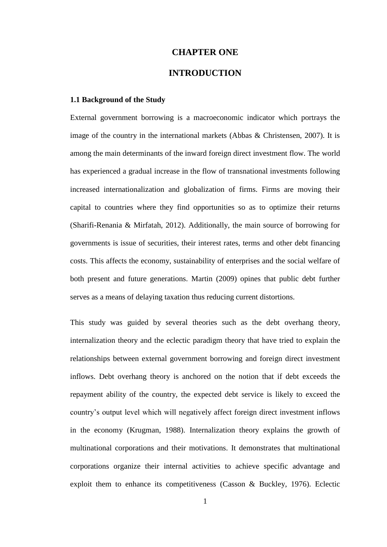### **CHAPTER ONE**

### **INTRODUCTION**

#### <span id="page-11-2"></span><span id="page-11-1"></span><span id="page-11-0"></span>**1.1 Background of the Study**

External government borrowing is a macroeconomic indicator which portrays the image of the country in the international markets (Abbas & Christensen, 2007). It is among the main determinants of the inward foreign direct investment flow. The world has experienced a gradual increase in the flow of transnational investments following increased internationalization and globalization of firms. Firms are moving their capital to countries where they find opportunities so as to optimize their returns (Sharifi-Renania & Mirfatah, 2012). Additionally, the main source of borrowing for governments is issue of securities, their interest rates, terms and other debt financing costs. This affects the economy, sustainability of enterprises and the social welfare of both present and future generations. Martin (2009) opines that public debt further serves as a means of delaying taxation thus reducing current distortions.

This study was guided by several theories such as the debt overhang theory, internalization theory and the eclectic paradigm theory that have tried to explain the relationships between external government borrowing and foreign direct investment inflows. Debt overhang theory is anchored on the notion that if debt exceeds the repayment ability of the country, the expected debt service is likely to exceed the country's output level which will negatively affect foreign direct investment inflows in the economy (Krugman, 1988). Internalization theory explains the growth of multinational corporations and their motivations. It demonstrates that multinational corporations organize their internal activities to achieve specific advantage and exploit them to enhance its competitiveness (Casson & Buckley, 1976). Eclectic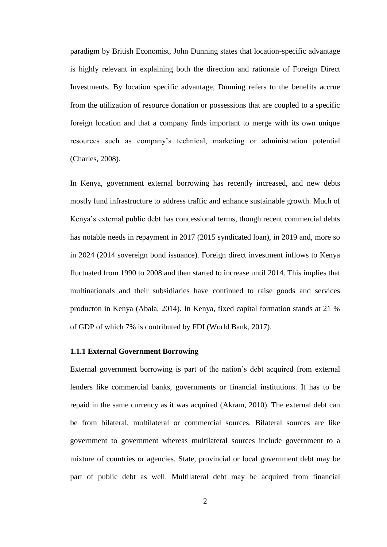paradigm by British Economist, John Dunning states that location-specific advantage is highly relevant in explaining both the direction and rationale of Foreign Direct Investments. By location specific advantage, Dunning refers to the benefits accrue from the utilization of resource donation or possessions that are coupled to a specific foreign location and that a company finds important to merge with its own unique resources such as company's technical, marketing or administration potential (Charles, 2008).

In Kenya, government external borrowing has recently increased, and new debts mostly fund infrastructure to address traffic and enhance sustainable growth. Much of Kenya's external public debt has concessional terms, though recent commercial debts has notable needs in repayment in 2017 (2015 syndicated loan), in 2019 and, more so in 2024 (2014 sovereign bond issuance). Foreign direct investment inflows to Kenya fluctuated from 1990 to 2008 and then started to increase until 2014. This implies that multinationals and their subsidiaries have continued to raise goods and services producton in Kenya (Abala, 2014). In Kenya, fixed capital formation stands at 21 % of GDP of which 7% is contributed by FDI (World Bank, 2017).

### <span id="page-12-0"></span>**1.1.1 External Government Borrowing**

External government borrowing is part of the nation's debt acquired from external lenders like commercial banks, governments or financial institutions. It has to be repaid in the same currency as it was acquired (Akram, 2010). The external debt can be from bilateral, multilateral or commercial sources. Bilateral sources are like government to government whereas multilateral sources include government to a mixture of countries or agencies. State, provincial or local government debt may be part of public debt as well. Multilateral debt may be acquired from financial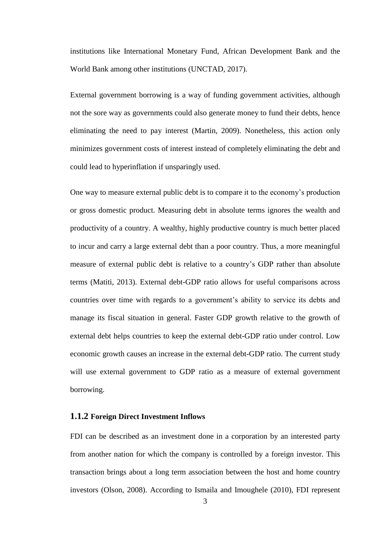institutions like International Monetary Fund, African Development Bank and the World Bank among other institutions (UNCTAD, 2017).

External government borrowing is a way of funding government activities, although not the sore way as governments could also generate money to fund their debts, hence eliminating the need to pay interest (Martin, 2009). Nonetheless, this action only minimizes government costs of interest instead of completely eliminating the debt and could lead to hyperinflation if unsparingly used.

One way to measure external public debt is to compare it to the economy's production or gross domestic product. Measuring debt in absolute terms ignores the wealth and productivity of a country. A wealthy, highly productive country is much better placed to incur and carry a large external debt than a poor country. Thus, a more meaningful measure of external public debt is relative to a country's GDP rather than absolute terms (Matiti, 2013). External debt-GDP ratio allows for useful comparisons across countries over time with regards to a government's ability to service its debts and manage its fiscal situation in general. Faster GDP growth relative to the growth of external debt helps countries to keep the external debt-GDP ratio under control. Low economic growth causes an increase in the external debt-GDP ratio. The current study will use external government to GDP ratio as a measure of external government borrowing.

### <span id="page-13-0"></span>**1.1.2 Foreign Direct Investment Inflows**

FDI can be described as an investment done in a corporation by an interested party from another nation for which the company is controlled by a foreign investor. This transaction brings about a long term association between the host and home country investors (Olson, 2008). According to Ismaila and Imoughele (2010), FDI represent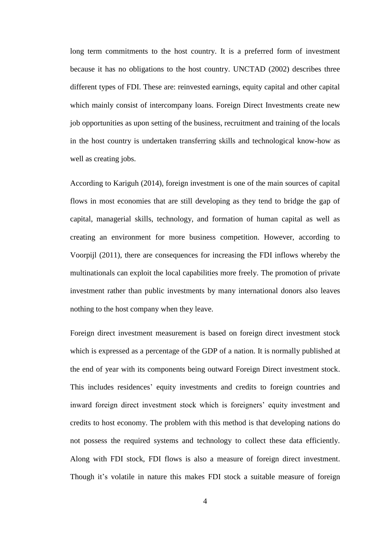long term commitments to the host country. It is a preferred form of investment because it has no obligations to the host country. UNCTAD (2002) describes three different types of FDI. These are: reinvested earnings, equity capital and other capital which mainly consist of intercompany loans. Foreign Direct Investments create new job opportunities as upon setting of the business, recruitment and training of the locals in the host country is undertaken transferring skills and technological know-how as well as creating jobs.

According to Kariguh (2014), foreign investment is one of the main sources of capital flows in most economies that are still developing as they tend to bridge the gap of capital, managerial skills, technology, and formation of human capital as well as creating an environment for more business competition. However, according to Voorpijl (2011), there are consequences for increasing the FDI inflows whereby the multinationals can exploit the local capabilities more freely. The promotion of private investment rather than public investments by many international donors also leaves nothing to the host company when they leave.

Foreign direct investment measurement is based on foreign direct investment stock which is expressed as a percentage of the GDP of a nation. It is normally published at the end of year with its components being outward Foreign Direct investment stock. This includes residences' equity investments and credits to foreign countries and inward foreign direct investment stock which is foreigners' equity investment and credits to host economy. The problem with this method is that developing nations do not possess the required systems and technology to collect these data efficiently. Along with FDI stock, FDI flows is also a measure of foreign direct investment. Though it's volatile in nature this makes FDI stock a suitable measure of foreign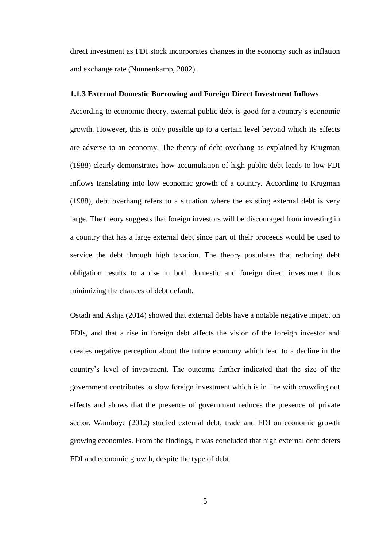direct investment as FDI stock incorporates changes in the economy such as inflation and exchange rate (Nunnenkamp, 2002).

#### <span id="page-15-0"></span>**1.1.3 External Domestic Borrowing and Foreign Direct Investment Inflows**

According to economic theory, external public debt is good for a country's economic growth. However, this is only possible up to a certain level beyond which its effects are adverse to an economy. The theory of debt overhang as explained by Krugman (1988) clearly demonstrates how accumulation of high public debt leads to low FDI inflows translating into low economic growth of a country. According to Krugman (1988), debt overhang refers to a situation where the existing external debt is very large. The theory suggests that foreign investors will be discouraged from investing in a country that has a large external debt since part of their proceeds would be used to service the debt through high taxation. The theory postulates that reducing debt obligation results to a rise in both domestic and foreign direct investment thus minimizing the chances of debt default.

Ostadi and Ashja (2014) showed that external debts have a notable negative impact on FDIs, and that a rise in foreign debt affects the vision of the foreign investor and creates negative perception about the future economy which lead to a decline in the country's level of investment. The outcome further indicated that the size of the government contributes to slow foreign investment which is in line with crowding out effects and shows that the presence of government reduces the presence of private sector. Wamboye (2012) studied external debt, trade and FDI on economic growth growing economies. From the findings, it was concluded that high external debt deters FDI and economic growth, despite the type of debt.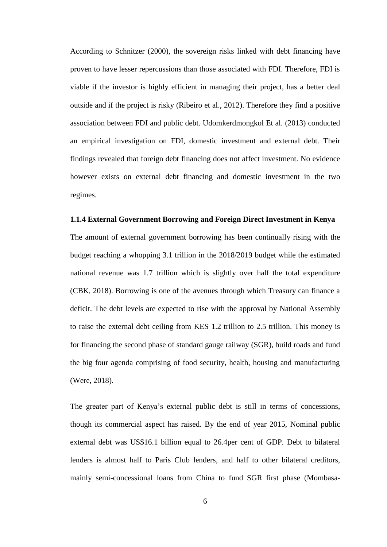According to Schnitzer (2000), the sovereign risks linked with debt financing have proven to have lesser repercussions than those associated with FDI. Therefore, FDI is viable if the investor is highly efficient in managing their project, has a better deal outside and if the project is risky (Ribeiro et al., 2012). Therefore they find a positive association between FDI and public debt. Udomkerdmongkol Et al. (2013) conducted an empirical investigation on FDI, domestic investment and external debt. Their findings revealed that foreign debt financing does not affect investment. No evidence however exists on external debt financing and domestic investment in the two regimes.

#### <span id="page-16-0"></span>**1.1.4 External Government Borrowing and Foreign Direct Investment in Kenya**

The amount of external government borrowing has been continually rising with the budget reaching a whopping 3.1 trillion in the 2018/2019 budget while the estimated national revenue was 1.7 trillion which is slightly over half the total expenditure (CBK, 2018). Borrowing is one of the avenues through which Treasury can finance a deficit. The debt levels are expected to rise with the approval by National Assembly to raise the external debt ceiling from KES 1.2 trillion to 2.5 trillion. This money is for financing the second phase of standard gauge railway (SGR), build roads and fund the big four agenda comprising of food security, health, housing and manufacturing (Were, 2018).

The greater part of Kenya's external public debt is still in terms of concessions, though its commercial aspect has raised. By the end of year 2015, Nominal public external debt was US\$16.1 billion equal to 26.4per cent of GDP. Debt to bilateral lenders is almost half to Paris Club lenders, and half to other bilateral creditors, mainly semi-concessional loans from China to fund SGR first phase (Mombasa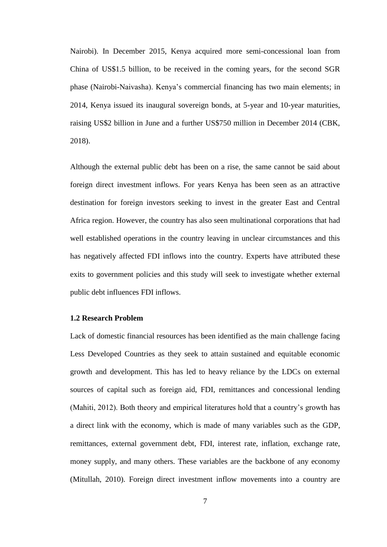Nairobi). In December 2015, Kenya acquired more semi-concessional loan from China of US\$1.5 billion, to be received in the coming years, for the second SGR phase (Nairobi-Naivasha). Kenya's commercial financing has two main elements; in 2014, Kenya issued its inaugural sovereign bonds, at 5-year and 10-year maturities, raising US\$2 billion in June and a further US\$750 million in December 2014 (CBK, 2018).

Although the external public debt has been on a rise, the same cannot be said about foreign direct investment inflows. For years Kenya has been seen as an attractive destination for foreign investors seeking to invest in the greater East and Central Africa region. However, the country has also seen multinational corporations that had well established operations in the country leaving in unclear circumstances and this has negatively affected FDI inflows into the country. Experts have attributed these exits to government policies and this study will seek to investigate whether external public debt influences FDI inflows.

### <span id="page-17-0"></span>**1.2 Research Problem**

Lack of domestic financial resources has been identified as the main challenge facing Less Developed Countries as they seek to attain sustained and equitable economic growth and development. This has led to heavy reliance by the LDCs on external sources of capital such as foreign aid, FDI, remittances and concessional lending (Mahiti, 2012). Both theory and empirical literatures hold that a country's growth has a direct link with the economy, which is made of many variables such as the GDP, remittances, external government debt, FDI, interest rate, inflation, exchange rate, money supply, and many others. These variables are the backbone of any economy (Mitullah, 2010). Foreign direct investment inflow movements into a country are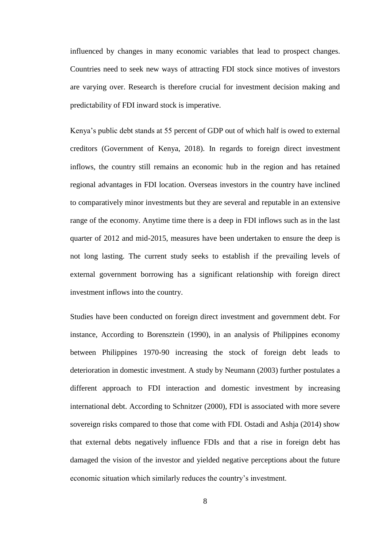influenced by changes in many economic variables that lead to prospect changes. Countries need to seek new ways of attracting FDI stock since motives of investors are varying over. Research is therefore crucial for investment decision making and predictability of FDI inward stock is imperative.

Kenya's public debt stands at 55 percent of GDP out of which half is owed to external creditors (Government of Kenya, 2018). In regards to foreign direct investment inflows, the country still remains an economic hub in the region and has retained regional advantages in FDI location. Overseas investors in the country have inclined to comparatively minor investments but they are several and reputable in an extensive range of the economy. Anytime time there is a deep in FDI inflows such as in the last quarter of 2012 and mid-2015, measures have been undertaken to ensure the deep is not long lasting. The current study seeks to establish if the prevailing levels of external government borrowing has a significant relationship with foreign direct investment inflows into the country.

Studies have been conducted on foreign direct investment and government debt. For instance, According to Borensztein (1990), in an analysis of Philippines economy between Philippines 1970-90 increasing the stock of foreign debt leads to deterioration in domestic investment. A study by Neumann (2003) further postulates a different approach to FDI interaction and domestic investment by increasing international debt. According to Schnitzer (2000), FDI is associated with more severe sovereign risks compared to those that come with FDI. Ostadi and Ashja (2014) show that external debts negatively influence FDIs and that a rise in foreign debt has damaged the vision of the investor and yielded negative perceptions about the future economic situation which similarly reduces the country's investment.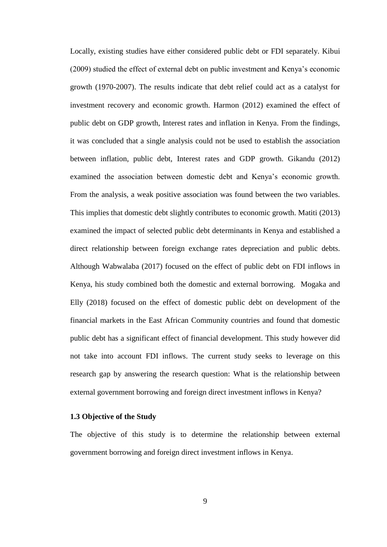Locally, existing studies have either considered public debt or FDI separately. Kibui (2009) studied the effect of external debt on public investment and Kenya's economic growth (1970-2007). The results indicate that debt relief could act as a catalyst for investment recovery and economic growth. Harmon (2012) examined the effect of public debt on GDP growth, Interest rates and inflation in Kenya. From the findings, it was concluded that a single analysis could not be used to establish the association between inflation, public debt, Interest rates and GDP growth. Gikandu (2012) examined the association between domestic debt and Kenya's economic growth. From the analysis, a weak positive association was found between the two variables. This implies that domestic debt slightly contributes to economic growth. Matiti (2013) examined the impact of selected public debt determinants in Kenya and established a direct relationship between foreign exchange rates depreciation and public debts. Although Wabwalaba (2017) focused on the effect of public debt on FDI inflows in Kenya, his study combined both the domestic and external borrowing. Mogaka and Elly (2018) focused on the effect of domestic public debt on development of the financial markets in the East African Community countries and found that domestic public debt has a significant effect of financial development. This study however did not take into account FDI inflows. The current study seeks to leverage on this research gap by answering the research question: What is the relationship between external government borrowing and foreign direct investment inflows in Kenya?

### <span id="page-19-0"></span>**1.3 Objective of the Study**

The objective of this study is to determine the relationship between external government borrowing and foreign direct investment inflows in Kenya.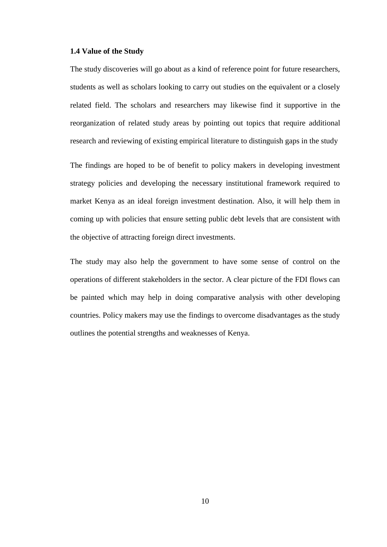### <span id="page-20-0"></span>**1.4 Value of the Study**

The study discoveries will go about as a kind of reference point for future researchers, students as well as scholars looking to carry out studies on the equivalent or a closely related field. The scholars and researchers may likewise find it supportive in the reorganization of related study areas by pointing out topics that require additional research and reviewing of existing empirical literature to distinguish gaps in the study

The findings are hoped to be of benefit to policy makers in developing investment strategy policies and developing the necessary institutional framework required to market Kenya as an ideal foreign investment destination. Also, it will help them in coming up with policies that ensure setting public debt levels that are consistent with the objective of attracting foreign direct investments.

The study may also help the government to have some sense of control on the operations of different stakeholders in the sector. A clear picture of the FDI flows can be painted which may help in doing comparative analysis with other developing countries. Policy makers may use the findings to overcome disadvantages as the study outlines the potential strengths and weaknesses of Kenya.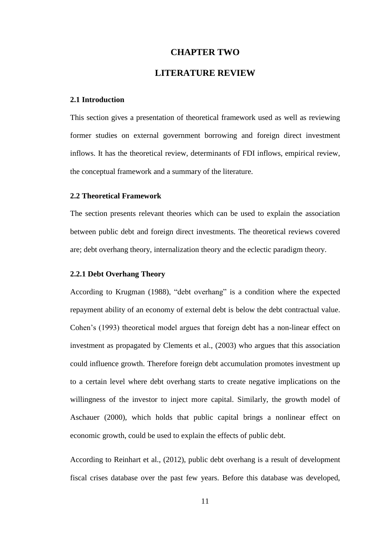### **CHAPTER TWO**

### **LITERATURE REVIEW**

### <span id="page-21-2"></span><span id="page-21-1"></span><span id="page-21-0"></span>**2.1 Introduction**

This section gives a presentation of theoretical framework used as well as reviewing former studies on external government borrowing and foreign direct investment inflows. It has the theoretical review, determinants of FDI inflows, empirical review, the conceptual framework and a summary of the literature.

### <span id="page-21-3"></span>**2.2 Theoretical Framework**

The section presents relevant theories which can be used to explain the association between public debt and foreign direct investments. The theoretical reviews covered are; debt overhang theory, internalization theory and the eclectic paradigm theory.

### <span id="page-21-4"></span>**2.2.1 Debt Overhang Theory**

According to Krugman (1988), "debt overhang" is a condition where the expected repayment ability of an economy of external debt is below the debt contractual value. Cohen's (1993) theoretical model argues that foreign debt has a non-linear effect on investment as propagated by Clements et al., (2003) who argues that this association could influence growth. Therefore foreign debt accumulation promotes investment up to a certain level where debt overhang starts to create negative implications on the willingness of the investor to inject more capital. Similarly, the growth model of Aschauer (2000), which holds that public capital brings a nonlinear effect on economic growth, could be used to explain the effects of public debt.

According to Reinhart et al., (2012), public debt overhang is a result of development fiscal crises database over the past few years. Before this database was developed,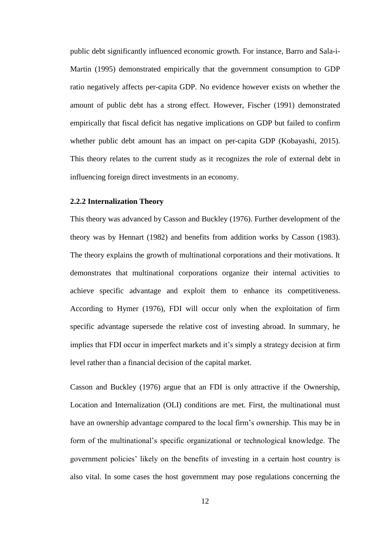public debt significantly influenced economic growth. For instance, Barro and Sala-i-Martin (1995) demonstrated empirically that the government consumption to GDP ratio negatively affects per-capita GDP. No evidence however exists on whether the amount of public debt has a strong effect. However, Fischer (1991) demonstrated empirically that fiscal deficit has negative implications on GDP but failed to confirm whether public debt amount has an impact on per-capita GDP (Kobayashi, 2015). This theory relates to the current study as it recognizes the role of external debt in influencing foreign direct investments in an economy.

### <span id="page-22-0"></span>**2.2.2 Internalization Theory**

This theory was advanced by Casson and Buckley (1976). Further development of the theory was by Hennart (1982) and benefits from addition works by Casson (1983). The theory explains the growth of multinational corporations and their motivations. It demonstrates that multinational corporations organize their internal activities to achieve specific advantage and exploit them to enhance its competitiveness. According to Hymer (1976), FDI will occur only when the exploitation of firm specific advantage supersede the relative cost of investing abroad. In summary, he implies that FDI occur in imperfect markets and it's simply a strategy decision at firm level rather than a financial decision of the capital market.

Casson and Buckley (1976) argue that an FDI is only attractive if the Ownership, Location and Internalization (OLI) conditions are met. First, the multinational must have an ownership advantage compared to the local firm's ownership. This may be in form of the multinational's specific organizational or technological knowledge. The government policies' likely on the benefits of investing in a certain host country is also vital. In some cases the host government may pose regulations concerning the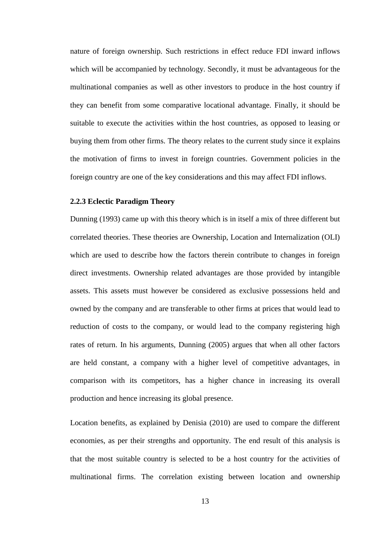nature of foreign ownership. Such restrictions in effect reduce FDI inward inflows which will be accompanied by technology. Secondly, it must be advantageous for the multinational companies as well as other investors to produce in the host country if they can benefit from some comparative locational advantage. Finally, it should be suitable to execute the activities within the host countries, as opposed to leasing or buying them from other firms. The theory relates to the current study since it explains the motivation of firms to invest in foreign countries. Government policies in the foreign country are one of the key considerations and this may affect FDI inflows.

### <span id="page-23-0"></span>**2.2.3 Eclectic Paradigm Theory**

Dunning (1993) came up with this theory which is in itself a mix of three different but correlated theories. These theories are Ownership, Location and Internalization (OLI) which are used to describe how the factors therein contribute to changes in foreign direct investments. Ownership related advantages are those provided by intangible assets. This assets must however be considered as exclusive possessions held and owned by the company and are transferable to other firms at prices that would lead to reduction of costs to the company, or would lead to the company registering high rates of return. In his arguments, Dunning (2005) argues that when all other factors are held constant, a company with a higher level of competitive advantages, in comparison with its competitors, has a higher chance in increasing its overall production and hence increasing its global presence.

Location benefits, as explained by Denisia (2010) are used to compare the different economies, as per their strengths and opportunity. The end result of this analysis is that the most suitable country is selected to be a host country for the activities of multinational firms. The correlation existing between location and ownership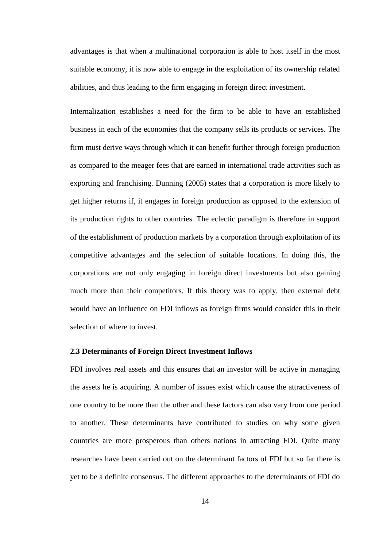advantages is that when a multinational corporation is able to host itself in the most suitable economy, it is now able to engage in the exploitation of its ownership related abilities, and thus leading to the firm engaging in foreign direct investment.

Internalization establishes a need for the firm to be able to have an established business in each of the economies that the company sells its products or services. The firm must derive ways through which it can benefit further through foreign production as compared to the meager fees that are earned in international trade activities such as exporting and franchising. Dunning (2005) states that a corporation is more likely to get higher returns if, it engages in foreign production as opposed to the extension of its production rights to other countries. The eclectic paradigm is therefore in support of the establishment of production markets by a corporation through exploitation of its competitive advantages and the selection of suitable locations. In doing this, the corporations are not only engaging in foreign direct investments but also gaining much more than their competitors. If this theory was to apply, then external debt would have an influence on FDI inflows as foreign firms would consider this in their selection of where to invest.

#### <span id="page-24-0"></span>**2.3 Determinants of Foreign Direct Investment Inflows**

FDI involves real assets and this ensures that an investor will be active in managing the assets he is acquiring. A number of issues exist which cause the attractiveness of one country to be more than the other and these factors can also vary from one period to another. These determinants have contributed to studies on why some given countries are more prosperous than others nations in attracting FDI. Quite many researches have been carried out on the determinant factors of FDI but so far there is yet to be a definite consensus. The different approaches to the determinants of FDI do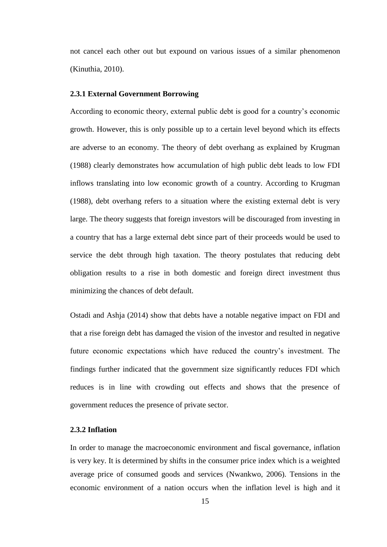not cancel each other out but expound on various issues of a similar phenomenon (Kinuthia, 2010).

#### <span id="page-25-0"></span>**2.3.1 External Government Borrowing**

According to economic theory, external public debt is good for a country's economic growth. However, this is only possible up to a certain level beyond which its effects are adverse to an economy. The theory of debt overhang as explained by Krugman (1988) clearly demonstrates how accumulation of high public debt leads to low FDI inflows translating into low economic growth of a country. According to Krugman (1988), debt overhang refers to a situation where the existing external debt is very large. The theory suggests that foreign investors will be discouraged from investing in a country that has a large external debt since part of their proceeds would be used to service the debt through high taxation. The theory postulates that reducing debt obligation results to a rise in both domestic and foreign direct investment thus minimizing the chances of debt default.

Ostadi and Ashja (2014) show that debts have a notable negative impact on FDI and that a rise foreign debt has damaged the vision of the investor and resulted in negative future economic expectations which have reduced the country's investment. The findings further indicated that the government size significantly reduces FDI which reduces is in line with crowding out effects and shows that the presence of government reduces the presence of private sector.

### <span id="page-25-1"></span>**2.3.2 Inflation**

In order to manage the macroeconomic environment and fiscal governance, inflation is very key. It is determined by shifts in the consumer price index which is a weighted average price of consumed goods and services (Nwankwo, 2006). Tensions in the economic environment of a nation occurs when the inflation level is high and it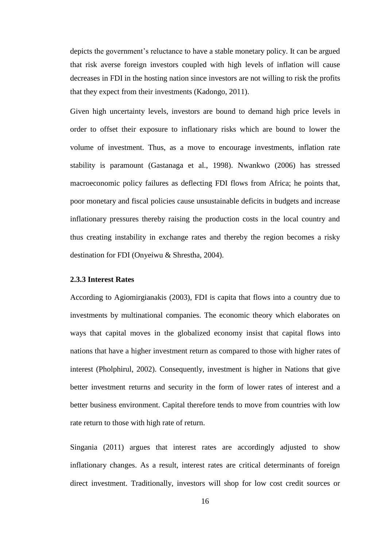depicts the government's reluctance to have a stable monetary policy. It can be argued that risk averse foreign investors coupled with high levels of inflation will cause decreases in FDI in the hosting nation since investors are not willing to risk the profits that they expect from their investments (Kadongo, 2011).

Given high uncertainty levels, investors are bound to demand high price levels in order to offset their exposure to inflationary risks which are bound to lower the volume of investment. Thus, as a move to encourage investments, inflation rate stability is paramount (Gastanaga et al., 1998). Nwankwo (2006) has stressed macroeconomic policy failures as deflecting FDI flows from Africa; he points that, poor monetary and fiscal policies cause unsustainable deficits in budgets and increase inflationary pressures thereby raising the production costs in the local country and thus creating instability in exchange rates and thereby the region becomes a risky destination for FDI (Onyeiwu & Shrestha, 2004).

#### <span id="page-26-0"></span>**2.3.3 Interest Rates**

According to Agiomirgianakis (2003), FDI is capita that flows into a country due to investments by multinational companies. The economic theory which elaborates on ways that capital moves in the globalized economy insist that capital flows into nations that have a higher investment return as compared to those with higher rates of interest (Pholphirul, 2002). Consequently, investment is higher in Nations that give better investment returns and security in the form of lower rates of interest and a better business environment. Capital therefore tends to move from countries with low rate return to those with high rate of return.

Singania (2011) argues that interest rates are accordingly adjusted to show inflationary changes. As a result, interest rates are critical determinants of foreign direct investment. Traditionally, investors will shop for low cost credit sources or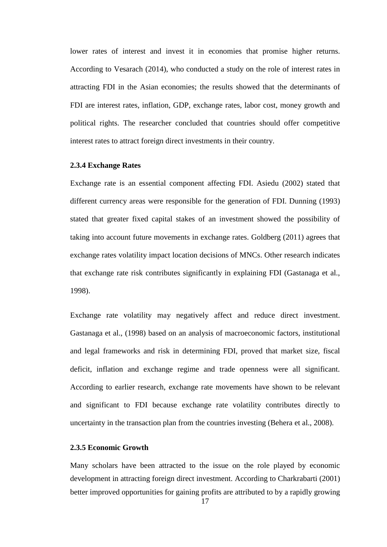lower rates of interest and invest it in economies that promise higher returns. According to Vesarach (2014), who conducted a study on the role of interest rates in attracting FDI in the Asian economies; the results showed that the determinants of FDI are interest rates, inflation, GDP, exchange rates, labor cost, money growth and political rights. The researcher concluded that countries should offer competitive interest rates to attract foreign direct investments in their country.

#### <span id="page-27-0"></span>**2.3.4 Exchange Rates**

Exchange rate is an essential component affecting FDI. Asiedu (2002) stated that different currency areas were responsible for the generation of FDI. Dunning (1993) stated that greater fixed capital stakes of an investment showed the possibility of taking into account future movements in exchange rates. Goldberg (2011) agrees that exchange rates volatility impact location decisions of MNCs. Other research indicates that exchange rate risk contributes significantly in explaining FDI (Gastanaga et al., 1998).

Exchange rate volatility may negatively affect and reduce direct investment. Gastanaga et al., (1998) based on an analysis of macroeconomic factors, institutional and legal frameworks and risk in determining FDI, proved that market size, fiscal deficit, inflation and exchange regime and trade openness were all significant. According to earlier research, exchange rate movements have shown to be relevant and significant to FDI because exchange rate volatility contributes directly to uncertainty in the transaction plan from the countries investing (Behera et al., 2008).

#### <span id="page-27-1"></span>**2.3.5 Economic Growth**

Many scholars have been attracted to the issue on the role played by economic development in attracting foreign direct investment. According to Charkrabarti (2001) better improved opportunities for gaining profits are attributed to by a rapidly growing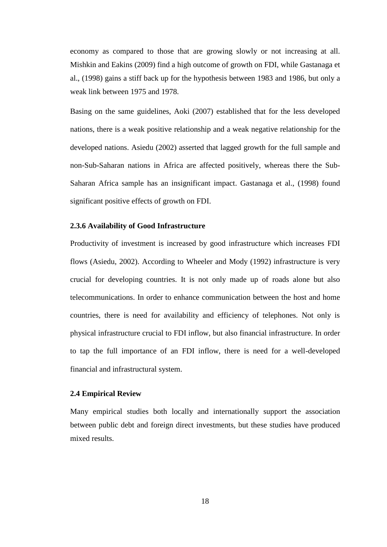economy as compared to those that are growing slowly or not increasing at all. Mishkin and Eakins (2009) find a high outcome of growth on FDI, while Gastanaga et al., (1998) gains a stiff back up for the hypothesis between 1983 and 1986, but only a weak link between 1975 and 1978.

Basing on the same guidelines, Aoki (2007) established that for the less developed nations, there is a weak positive relationship and a weak negative relationship for the developed nations. Asiedu (2002) asserted that lagged growth for the full sample and non-Sub-Saharan nations in Africa are affected positively, whereas there the Sub-Saharan Africa sample has an insignificant impact. Gastanaga et al., (1998) found significant positive effects of growth on FDI.

### <span id="page-28-0"></span>**2.3.6 Availability of Good Infrastructure**

Productivity of investment is increased by good infrastructure which increases FDI flows (Asiedu, 2002). According to Wheeler and Mody (1992) infrastructure is very crucial for developing countries. It is not only made up of roads alone but also telecommunications. In order to enhance communication between the host and home countries, there is need for availability and efficiency of telephones. Not only is physical infrastructure crucial to FDI inflow, but also financial infrastructure. In order to tap the full importance of an FDI inflow, there is need for a well-developed financial and infrastructural system.

### <span id="page-28-1"></span>**2.4 Empirical Review**

Many empirical studies both locally and internationally support the association between public debt and foreign direct investments, but these studies have produced mixed results.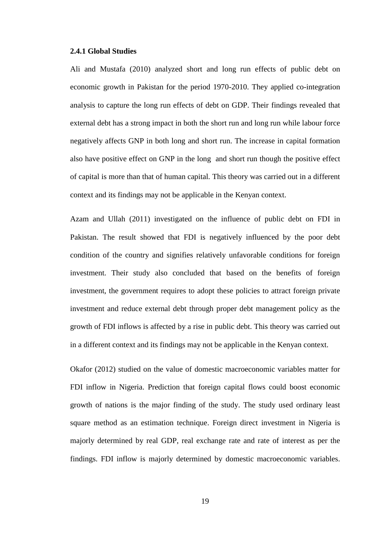### <span id="page-29-0"></span>**2.4.1 Global Studies**

Ali and Mustafa (2010) analyzed short and long run effects of public debt on economic growth in Pakistan for the period 1970-2010. They applied co-integration analysis to capture the long run effects of debt on GDP. Their findings revealed that external debt has a strong impact in both the short run and long run while labour force negatively affects GNP in both long and short run. The increase in capital formation also have positive effect on GNP in the long and short run though the positive effect of capital is more than that of human capital. This theory was carried out in a different context and its findings may not be applicable in the Kenyan context.

Azam and Ullah (2011) investigated on the influence of public debt on FDI in Pakistan. The result showed that FDI is negatively influenced by the poor debt condition of the country and signifies relatively unfavorable conditions for foreign investment. Their study also concluded that based on the benefits of foreign investment, the government requires to adopt these policies to attract foreign private investment and reduce external debt through proper debt management policy as the growth of FDI inflows is affected by a rise in public debt. This theory was carried out in a different context and its findings may not be applicable in the Kenyan context.

Okafor (2012) studied on the value of domestic macroeconomic variables matter for FDI inflow in Nigeria. Prediction that foreign capital flows could boost economic growth of nations is the major finding of the study. The study used ordinary least square method as an estimation technique. Foreign direct investment in Nigeria is majorly determined by real GDP, real exchange rate and rate of interest as per the findings. FDI inflow is majorly determined by domestic macroeconomic variables.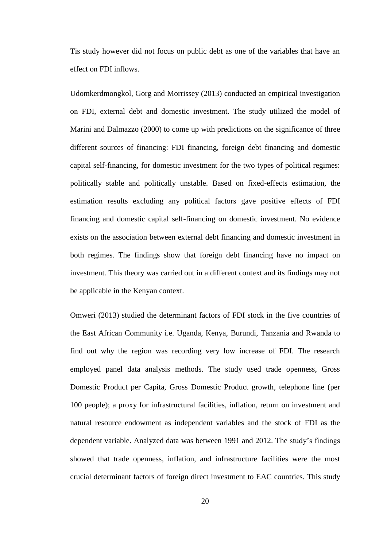Tis study however did not focus on public debt as one of the variables that have an effect on FDI inflows.

Udomkerdmongkol, Gorg and Morrissey (2013) conducted an empirical investigation on FDI, external debt and domestic investment. The study utilized the model of Marini and Dalmazzo (2000) to come up with predictions on the significance of three different sources of financing: FDI financing, foreign debt financing and domestic capital self-financing, for domestic investment for the two types of political regimes: politically stable and politically unstable. Based on fixed-effects estimation, the estimation results excluding any political factors gave positive effects of FDI financing and domestic capital self-financing on domestic investment. No evidence exists on the association between external debt financing and domestic investment in both regimes. The findings show that foreign debt financing have no impact on investment. This theory was carried out in a different context and its findings may not be applicable in the Kenyan context.

Omweri (2013) studied the determinant factors of FDI stock in the five countries of the East African Community i.e. Uganda, Kenya, Burundi, Tanzania and Rwanda to find out why the region was recording very low increase of FDI. The research employed panel data analysis methods. The study used trade openness, Gross Domestic Product per Capita, Gross Domestic Product growth, telephone line (per 100 people); a proxy for infrastructural facilities, inflation, return on investment and natural resource endowment as independent variables and the stock of FDI as the dependent variable. Analyzed data was between 1991 and 2012. The study's findings showed that trade openness, inflation, and infrastructure facilities were the most crucial determinant factors of foreign direct investment to EAC countries. This study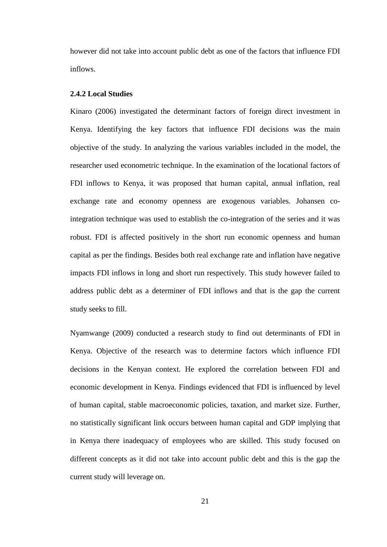however did not take into account public debt as one of the factors that influence FDI inflows.

### <span id="page-31-0"></span>**2.4.2 Local Studies**

Kinaro (2006) investigated the determinant factors of foreign direct investment in Kenya. Identifying the key factors that influence FDI decisions was the main objective of the study. In analyzing the various variables included in the model, the researcher used econometric technique. In the examination of the locational factors of FDI inflows to Kenya, it was proposed that human capital, annual inflation, real exchange rate and economy openness are exogenous variables. Johansen cointegration technique was used to establish the co-integration of the series and it was robust. FDI is affected positively in the short run economic openness and human capital as per the findings. Besides both real exchange rate and inflation have negative impacts FDI inflows in long and short run respectively. This study however failed to address public debt as a determiner of FDI inflows and that is the gap the current study seeks to fill.

Nyamwange (2009) conducted a research study to find out determinants of FDI in Kenya. Objective of the research was to determine factors which influence FDI decisions in the Kenyan context. He explored the correlation between FDI and economic development in Kenya. Findings evidenced that FDI is influenced by level of human capital, stable macroeconomic policies, taxation, and market size. Further, no statistically significant link occurs between human capital and GDP implying that in Kenya there inadequacy of employees who are skilled. This study focused on different concepts as it did not take into account public debt and this is the gap the current study will leverage on.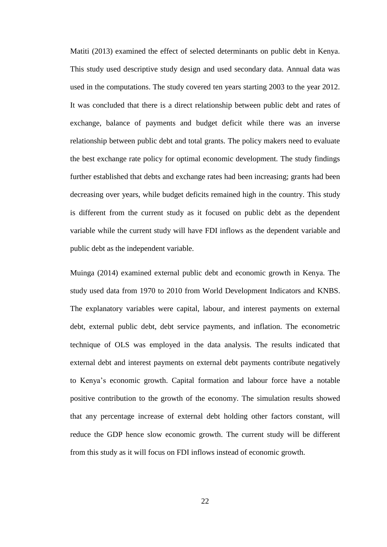Matiti (2013) examined the effect of selected determinants on public debt in Kenya. This study used descriptive study design and used secondary data. Annual data was used in the computations. The study covered ten years starting 2003 to the year 2012. It was concluded that there is a direct relationship between public debt and rates of exchange, balance of payments and budget deficit while there was an inverse relationship between public debt and total grants. The policy makers need to evaluate the best exchange rate policy for optimal economic development. The study findings further established that debts and exchange rates had been increasing; grants had been decreasing over years, while budget deficits remained high in the country. This study is different from the current study as it focused on public debt as the dependent variable while the current study will have FDI inflows as the dependent variable and public debt as the independent variable.

Muinga (2014) examined external public debt and economic growth in Kenya. The study used data from 1970 to 2010 from World Development Indicators and KNBS. The explanatory variables were capital, labour, and interest payments on external debt, external public debt, debt service payments, and inflation. The econometric technique of OLS was employed in the data analysis. The results indicated that external debt and interest payments on external debt payments contribute negatively to Kenya's economic growth. Capital formation and labour force have a notable positive contribution to the growth of the economy. The simulation results showed that any percentage increase of external debt holding other factors constant, will reduce the GDP hence slow economic growth. The current study will be different from this study as it will focus on FDI inflows instead of economic growth.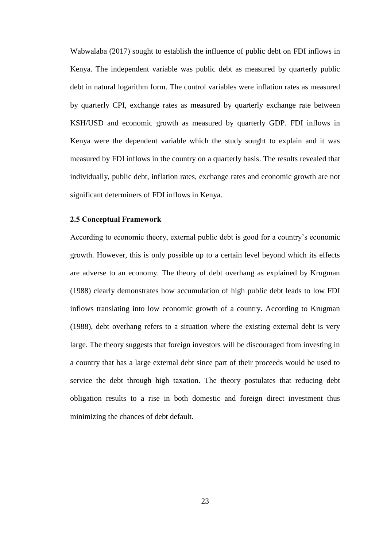Wabwalaba (2017) sought to establish the influence of public debt on FDI inflows in Kenya. The independent variable was public debt as measured by quarterly public debt in natural logarithm form. The control variables were inflation rates as measured by quarterly CPI, exchange rates as measured by quarterly exchange rate between KSH/USD and economic growth as measured by quarterly GDP. FDI inflows in Kenya were the dependent variable which the study sought to explain and it was measured by FDI inflows in the country on a quarterly basis. The results revealed that individually, public debt, inflation rates, exchange rates and economic growth are not significant determiners of FDI inflows in Kenya.

### <span id="page-33-0"></span>**2.5 Conceptual Framework**

According to economic theory, external public debt is good for a country's economic growth. However, this is only possible up to a certain level beyond which its effects are adverse to an economy. The theory of debt overhang as explained by Krugman (1988) clearly demonstrates how accumulation of high public debt leads to low FDI inflows translating into low economic growth of a country. According to Krugman (1988), debt overhang refers to a situation where the existing external debt is very large. The theory suggests that foreign investors will be discouraged from investing in a country that has a large external debt since part of their proceeds would be used to service the debt through high taxation. The theory postulates that reducing debt obligation results to a rise in both domestic and foreign direct investment thus minimizing the chances of debt default.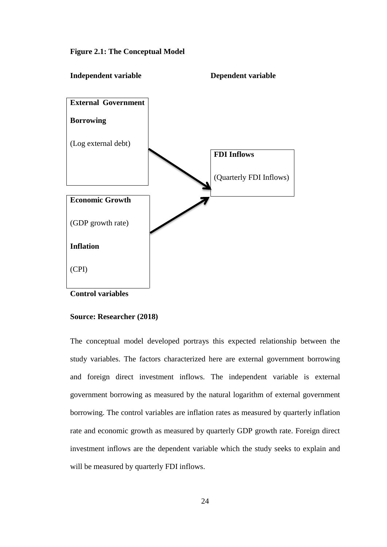<span id="page-34-0"></span>**Figure 2.1: The Conceptual Model**



**Control variables**

### **Source: Researcher (2018)**

The conceptual model developed portrays this expected relationship between the study variables. The factors characterized here are external government borrowing and foreign direct investment inflows. The independent variable is external government borrowing as measured by the natural logarithm of external government borrowing. The control variables are inflation rates as measured by quarterly inflation rate and economic growth as measured by quarterly GDP growth rate. Foreign direct investment inflows are the dependent variable which the study seeks to explain and will be measured by quarterly FDI inflows.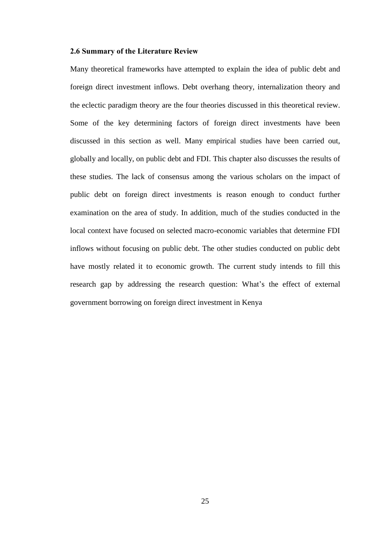### <span id="page-35-0"></span>**2.6 Summary of the Literature Review**

Many theoretical frameworks have attempted to explain the idea of public debt and foreign direct investment inflows. Debt overhang theory, internalization theory and the eclectic paradigm theory are the four theories discussed in this theoretical review. Some of the key determining factors of foreign direct investments have been discussed in this section as well. Many empirical studies have been carried out, globally and locally, on public debt and FDI. This chapter also discusses the results of these studies. The lack of consensus among the various scholars on the impact of public debt on foreign direct investments is reason enough to conduct further examination on the area of study. In addition, much of the studies conducted in the local context have focused on selected macro-economic variables that determine FDI inflows without focusing on public debt. The other studies conducted on public debt have mostly related it to economic growth. The current study intends to fill this research gap by addressing the research question: What's the effect of external government borrowing on foreign direct investment in Kenya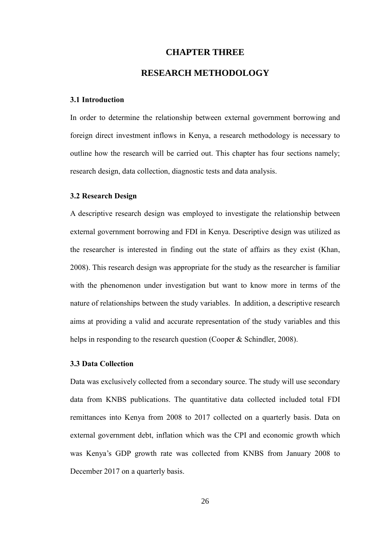### **CHAPTER THREE**

### **RESEARCH METHODOLOGY**

#### <span id="page-36-2"></span><span id="page-36-1"></span><span id="page-36-0"></span>**3.1 Introduction**

In order to determine the relationship between external government borrowing and foreign direct investment inflows in Kenya, a research methodology is necessary to outline how the research will be carried out. This chapter has four sections namely; research design, data collection, diagnostic tests and data analysis.

### <span id="page-36-3"></span>**3.2 Research Design**

A descriptive research design was employed to investigate the relationship between external government borrowing and FDI in Kenya. Descriptive design was utilized as the researcher is interested in finding out the state of affairs as they exist (Khan, 2008). This research design was appropriate for the study as the researcher is familiar with the phenomenon under investigation but want to know more in terms of the nature of relationships between the study variables. In addition, a descriptive research aims at providing a valid and accurate representation of the study variables and this helps in responding to the research question (Cooper & Schindler, 2008).

### <span id="page-36-4"></span>**3.3 Data Collection**

Data was exclusively collected from a secondary source. The study will use secondary data from KNBS publications. The quantitative data collected included total FDI remittances into Kenya from 2008 to 2017 collected on a quarterly basis. Data on external government debt, inflation which was the CPI and economic growth which was Kenya's GDP growth rate was collected from KNBS from January 2008 to December 2017 on a quarterly basis.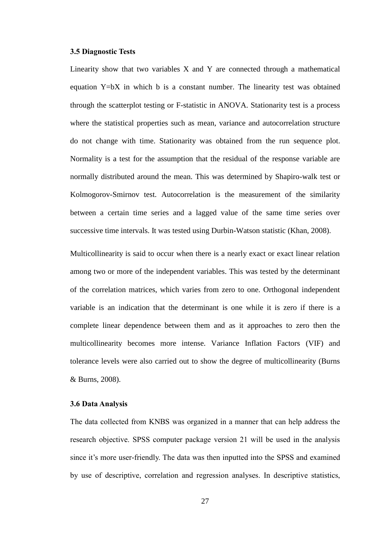### <span id="page-37-0"></span>**3.5 Diagnostic Tests**

Linearity show that two variables  $X$  and  $Y$  are connected through a mathematical equation Y=bX in which b is a constant number. The linearity test was obtained through the scatterplot testing or F-statistic in ANOVA. Stationarity test is a process where the statistical properties such as mean, variance and autocorrelation structure do not change with time. Stationarity was obtained from the run sequence plot. Normality is a test for the assumption that the residual of the response variable are normally distributed around the mean. This was determined by Shapiro-walk test or Kolmogorov-Smirnov test. Autocorrelation is the measurement of the similarity between a certain time series and a lagged value of the same time series over successive time intervals. It was tested using Durbin-Watson statistic (Khan, 2008).

Multicollinearity is said to occur when there is a nearly exact or exact linear relation among two or more of the independent variables. This was tested by the determinant of the correlation matrices, which varies from zero to one. Orthogonal independent variable is an indication that the determinant is one while it is zero if there is a complete linear dependence between them and as it approaches to zero then the multicollinearity becomes more intense. Variance Inflation Factors (VIF) and tolerance levels were also carried out to show the degree of multicollinearity (Burns & Burns, 2008).

### <span id="page-37-1"></span>**3.6 Data Analysis**

The data collected from KNBS was organized in a manner that can help address the research objective. SPSS computer package version 21 will be used in the analysis since it's more user-friendly. The data was then inputted into the SPSS and examined by use of descriptive, correlation and regression analyses. In descriptive statistics,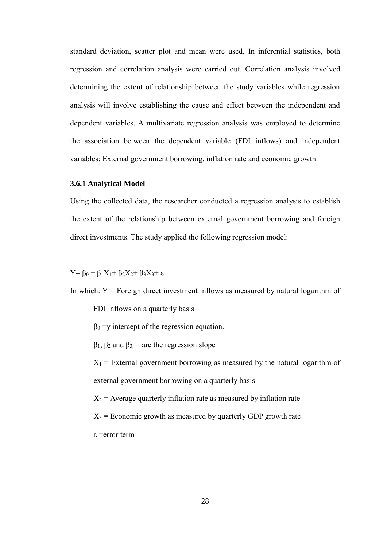standard deviation, scatter plot and mean were used. In inferential statistics, both regression and correlation analysis were carried out. Correlation analysis involved determining the extent of relationship between the study variables while regression analysis will involve establishing the cause and effect between the independent and dependent variables. A multivariate regression analysis was employed to determine the association between the dependent variable (FDI inflows) and independent variables: External government borrowing, inflation rate and economic growth.

### <span id="page-38-0"></span>**3.6.1 Analytical Model**

Using the collected data, the researcher conducted a regression analysis to establish the extent of the relationship between external government borrowing and foreign direct investments. The study applied the following regression model:

Y=  $\beta_0 + \beta_1 X_1 + \beta_2 X_2 + \beta_3 X_3 + \varepsilon$ .

In which:  $Y =$  Foreign direct investment inflows as measured by natural logarithm of

FDI inflows on a quarterly basis

 $\beta_0 =$ y intercept of the regression equation.

 $β<sub>1</sub>, β<sub>2</sub>$  and  $β<sub>3</sub> =$  are the regression slope

 $X_1$  = External government borrowing as measured by the natural logarithm of external government borrowing on a quarterly basis

 $X_2$  = Average quarterly inflation rate as measured by inflation rate

 $X_3$  = Economic growth as measured by quarterly GDP growth rate

ε =error term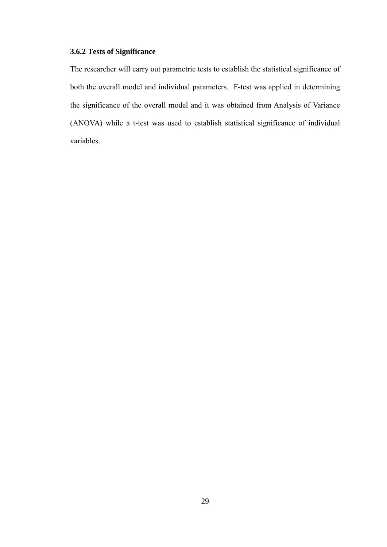### <span id="page-39-0"></span>**3.6.2 Tests of Significance**

The researcher will carry out parametric tests to establish the statistical significance of both the overall model and individual parameters. F-test was applied in determining the significance of the overall model and it was obtained from Analysis of Variance (ANOVA) while a t-test was used to establish statistical significance of individual variables.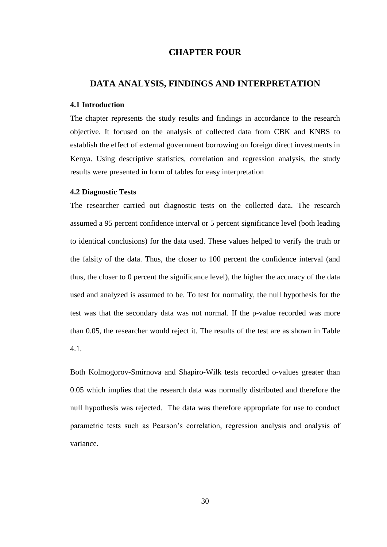### **CHAPTER FOUR**

### <span id="page-40-1"></span><span id="page-40-0"></span>**DATA ANALYSIS, FINDINGS AND INTERPRETATION**

### <span id="page-40-2"></span>**4.1 Introduction**

The chapter represents the study results and findings in accordance to the research objective. It focused on the analysis of collected data from CBK and KNBS to establish the effect of external government borrowing on foreign direct investments in Kenya. Using descriptive statistics, correlation and regression analysis, the study results were presented in form of tables for easy interpretation

#### <span id="page-40-3"></span>**4.2 Diagnostic Tests**

The researcher carried out diagnostic tests on the collected data. The research assumed a 95 percent confidence interval or 5 percent significance level (both leading to identical conclusions) for the data used. These values helped to verify the truth or the falsity of the data. Thus, the closer to 100 percent the confidence interval (and thus, the closer to 0 percent the significance level), the higher the accuracy of the data used and analyzed is assumed to be. To test for normality, the null hypothesis for the test was that the secondary data was not normal. If the p-value recorded was more than 0.05, the researcher would reject it. The results of the test are as shown in Table 4.1.

Both Kolmogorov-Smirnova and Shapiro-Wilk tests recorded o-values greater than 0.05 which implies that the research data was normally distributed and therefore the null hypothesis was rejected. The data was therefore appropriate for use to conduct parametric tests such as Pearson's correlation, regression analysis and analysis of variance.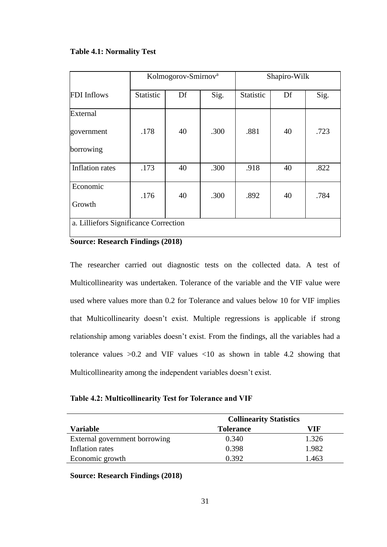### <span id="page-41-0"></span>**Table 4.1: Normality Test**

|                                       |           | Kolmogorov-Smirnov <sup>a</sup> |      | Shapiro-Wilk |    |      |
|---------------------------------------|-----------|---------------------------------|------|--------------|----|------|
| <b>FDI</b> Inflows                    | Statistic | Df                              | Sig. | Statistic    | Df | Sig. |
| External                              |           |                                 |      |              |    |      |
| government                            | .178      | 40                              | .300 | .881         | 40 | .723 |
| borrowing                             |           |                                 |      |              |    |      |
| <b>Inflation</b> rates                | .173      | 40                              | .300 | .918         | 40 | .822 |
| Economic                              | .176      | 40                              | .300 | .892         | 40 | .784 |
| Growth                                |           |                                 |      |              |    |      |
| a. Lilliefors Significance Correction |           |                                 |      |              |    |      |

### **Source: Research Findings (2018)**

<span id="page-41-1"></span>The researcher carried out diagnostic tests on the collected data. A test of Multicollinearity was undertaken. Tolerance of the variable and the VIF value were used where values more than 0.2 for Tolerance and values below 10 for VIF implies that Multicollinearity doesn't exist. Multiple regressions is applicable if strong relationship among variables doesn't exist. From the findings, all the variables had a tolerance values  $>0.2$  and VIF values  $<10$  as shown in table 4.2 showing that Multicollinearity among the independent variables doesn't exist.

### **Table 4.2: Multicollinearity Test for Tolerance and VIF**

|                               | <b>Collinearity Statistics</b> |       |  |
|-------------------------------|--------------------------------|-------|--|
| Variable                      | <b>Tolerance</b>               | VIF   |  |
| External government borrowing | 0.340                          | 1.326 |  |
| Inflation rates               | 0.398                          | 1.982 |  |
| Economic growth               | 0.392                          | 1.463 |  |

**Source: Research Findings (2018)**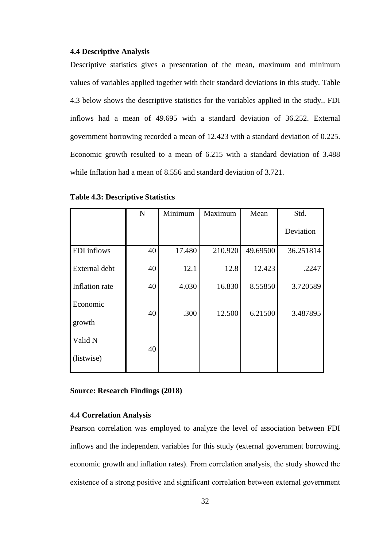#### <span id="page-42-0"></span>**4.4 Descriptive Analysis**

Descriptive statistics gives a presentation of the mean, maximum and minimum values of variables applied together with their standard deviations in this study. Table 4.3 below shows the descriptive statistics for the variables applied in the study.. FDI inflows had a mean of 49.695 with a standard deviation of 36.252. External government borrowing recorded a mean of 12.423 with a standard deviation of 0.225. Economic growth resulted to a mean of 6.215 with a standard deviation of 3.488 while Inflation had a mean of 8.556 and standard deviation of 3.721.

|                | $\mathbf N$ | Minimum | Maximum | Mean     | Std.      |
|----------------|-------------|---------|---------|----------|-----------|
|                |             |         |         |          | Deviation |
| FDI inflows    | 40          | 17.480  | 210.920 | 49.69500 | 36.251814 |
| External debt  | 40          | 12.1    | 12.8    | 12.423   | .2247     |
| Inflation rate | 40          | 4.030   | 16.830  | 8.55850  | 3.720589  |
| Economic       | 40          | .300    | 12.500  | 6.21500  | 3.487895  |
| growth         |             |         |         |          |           |
| Valid N        |             |         |         |          |           |
| (listwise)     | 40          |         |         |          |           |

<span id="page-42-2"></span>**Table 4.3: Descriptive Statistics**

**Source: Research Findings (2018)**

#### <span id="page-42-1"></span>**4.4 Correlation Analysis**

Pearson correlation was employed to analyze the level of association between FDI inflows and the independent variables for this study (external government borrowing, economic growth and inflation rates). From correlation analysis, the study showed the existence of a strong positive and significant correlation between external government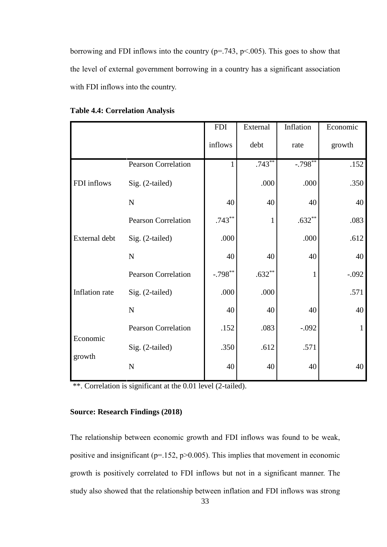borrowing and FDI inflows into the country ( $p = .743$ ,  $p < .005$ ). This goes to show that the level of external government borrowing in a country has a significant association with FDI inflows into the country.

|                |                            | <b>FDI</b> | External     | Inflation             | Economic     |
|----------------|----------------------------|------------|--------------|-----------------------|--------------|
|                |                            | inflows    | debt         | rate                  | growth       |
|                | <b>Pearson Correlation</b> | 1          | $.743***$    | $-.798$ <sup>**</sup> | .152         |
| FDI inflows    | Sig. (2-tailed)            |            | .000         | .000                  | .350         |
|                | ${\bf N}$                  | 40         | 40           | 40                    | 40           |
|                | <b>Pearson Correlation</b> | $.743***$  | $\mathbf{1}$ | $.632**$              | .083         |
| External debt  | Sig. (2-tailed)            | .000       |              | .000                  | .612         |
|                | ${\bf N}$                  | 40         | 40           | 40                    | 40           |
|                | <b>Pearson Correlation</b> | $-.798***$ | $.632**$     |                       | $-.092$      |
| Inflation rate | Sig. (2-tailed)            | .000       | .000         |                       | .571         |
|                | ${\bf N}$                  | 40         | 40           | 40                    | 40           |
| Economic       | Pearson Correlation        | .152       | .083         | $-.092$               | $\mathbf{1}$ |
|                | Sig. (2-tailed)            | .350       | .612         | .571                  |              |
| growth         | $\mathbf N$                | 40         | 40           | 40                    | 40           |

<span id="page-43-0"></span>**Table 4.4: Correlation Analysis**

\*\*. Correlation is significant at the 0.01 level (2-tailed).

### **Source: Research Findings (2018)**

The relationship between economic growth and FDI inflows was found to be weak, positive and insignificant ( $p=152$ ,  $p>0.005$ ). This implies that movement in economic growth is positively correlated to FDI inflows but not in a significant manner. The study also showed that the relationship between inflation and FDI inflows was strong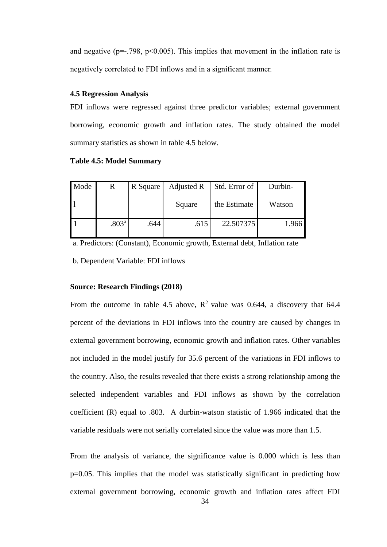and negative ( $p=-.798$ ,  $p<0.005$ ). This implies that movement in the inflation rate is negatively correlated to FDI inflows and in a significant manner.

### <span id="page-44-0"></span>**4.5 Regression Analysis**

FDI inflows were regressed against three predictor variables; external government borrowing, economic growth and inflation rates. The study obtained the model summary statistics as shown in table 4.5 below.

### <span id="page-44-1"></span>**Table 4.5: Model Summary**

| Mode | R                 | R Square | Adjusted R | Std. Error of | Durbin- |
|------|-------------------|----------|------------|---------------|---------|
|      |                   |          | Square     | the Estimate  | Watson  |
|      | .803 <sup>a</sup> | .644     | .615       | 22.507375     | 1.966   |

a. Predictors: (Constant), Economic growth, External debt, Inflation rate

b. Dependent Variable: FDI inflows

#### **Source: Research Findings (2018)**

From the outcome in table 4.5 above,  $\mathbb{R}^2$  value was 0.644, a discovery that 64.4 percent of the deviations in FDI inflows into the country are caused by changes in external government borrowing, economic growth and inflation rates. Other variables not included in the model justify for 35.6 percent of the variations in FDI inflows to the country. Also, the results revealed that there exists a strong relationship among the selected independent variables and FDI inflows as shown by the correlation coefficient (R) equal to .803. A durbin-watson statistic of 1.966 indicated that the variable residuals were not serially correlated since the value was more than 1.5.

From the analysis of variance, the significance value is 0.000 which is less than p=0.05. This implies that the model was statistically significant in predicting how external government borrowing, economic growth and inflation rates affect FDI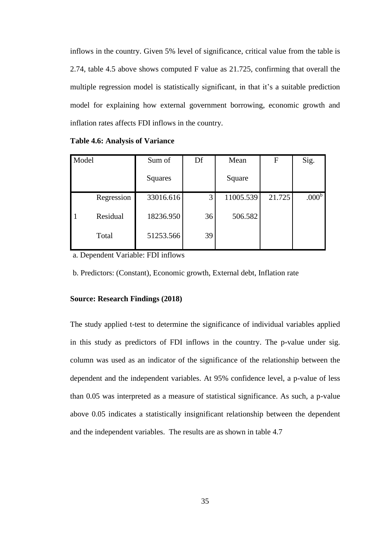inflows in the country. Given 5% level of significance, critical value from the table is 2.74, table 4.5 above shows computed F value as 21.725, confirming that overall the multiple regression model is statistically significant, in that it's a suitable prediction model for explaining how external government borrowing, economic growth and inflation rates affects FDI inflows in the country.

| Model |            | Sum of    | Df | Mean      | F      | Sig.              |
|-------|------------|-----------|----|-----------|--------|-------------------|
|       |            | Squares   |    | Square    |        |                   |
|       | Regression | 33016.616 | 3  | 11005.539 | 21.725 | .000 <sup>b</sup> |
| -1    | Residual   | 18236.950 | 36 | 506.582   |        |                   |
|       | Total      | 51253.566 | 39 |           |        |                   |

<span id="page-45-0"></span>**Table 4.6: Analysis of Variance**

a. Dependent Variable: FDI inflows

b. Predictors: (Constant), Economic growth, External debt, Inflation rate

#### **Source: Research Findings (2018)**

The study applied t-test to determine the significance of individual variables applied in this study as predictors of FDI inflows in the country. The p-value under sig. column was used as an indicator of the significance of the relationship between the dependent and the independent variables. At 95% confidence level, a p-value of less than 0.05 was interpreted as a measure of statistical significance. As such, a p-value above 0.05 indicates a statistically insignificant relationship between the dependent and the independent variables. The results are as shown in table 4.7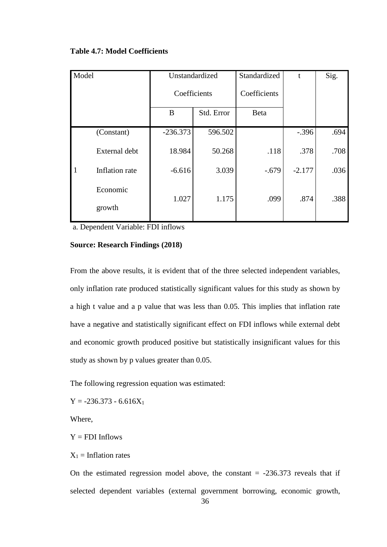| Model |                | Unstandardized<br>Coefficients |            | Standardized | t        | Sig. |
|-------|----------------|--------------------------------|------------|--------------|----------|------|
|       |                |                                |            | Coefficients |          |      |
|       |                | B                              | Std. Error | <b>Beta</b>  |          |      |
| -1    | (Constant)     | $-236.373$                     | 596.502    |              | $-.396$  | .694 |
|       | External debt  | 18.984                         | 50.268     | .118         | .378     | .708 |
|       | Inflation rate | $-6.616$                       | 3.039      | $-.679$      | $-2.177$ | .036 |
|       | Economic       | 1.027                          | 1.175      | .099         | .874     | .388 |
|       | growth         |                                |            |              |          |      |

### <span id="page-46-0"></span>**Table 4.7: Model Coefficients**

a. Dependent Variable: FDI inflows

### **Source: Research Findings (2018)**

From the above results, it is evident that of the three selected independent variables, only inflation rate produced statistically significant values for this study as shown by a high t value and a p value that was less than 0.05. This implies that inflation rate have a negative and statistically significant effect on FDI inflows while external debt and economic growth produced positive but statistically insignificant values for this study as shown by p values greater than 0.05.

The following regression equation was estimated:

 $Y = -236.373 - 6.616X_1$ 

Where,

 $Y = FDI$  Inflows

 $X_1$  = Inflation rates

On the estimated regression model above, the constant  $= -236.373$  reveals that if selected dependent variables (external government borrowing, economic growth,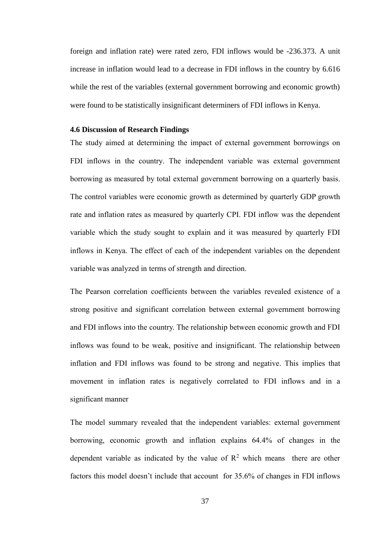foreign and inflation rate) were rated zero, FDI inflows would be -236.373. A unit increase in inflation would lead to a decrease in FDI inflows in the country by 6.616 while the rest of the variables (external government borrowing and economic growth) were found to be statistically insignificant determiners of FDI inflows in Kenya.

### <span id="page-47-0"></span>**4.6 Discussion of Research Findings**

The study aimed at determining the impact of external government borrowings on FDI inflows in the country. The independent variable was external government borrowing as measured by total external government borrowing on a quarterly basis. The control variables were economic growth as determined by quarterly GDP growth rate and inflation rates as measured by quarterly CPI. FDI inflow was the dependent variable which the study sought to explain and it was measured by quarterly FDI inflows in Kenya. The effect of each of the independent variables on the dependent variable was analyzed in terms of strength and direction.

The Pearson correlation coefficients between the variables revealed existence of a strong positive and significant correlation between external government borrowing and FDI inflows into the country. The relationship between economic growth and FDI inflows was found to be weak, positive and insignificant. The relationship between inflation and FDI inflows was found to be strong and negative. This implies that movement in inflation rates is negatively correlated to FDI inflows and in a significant manner

The model summary revealed that the independent variables: external government borrowing, economic growth and inflation explains 64.4% of changes in the dependent variable as indicated by the value of  $\mathbb{R}^2$  which means there are other factors this model doesn't include that account for 35.6% of changes in FDI inflows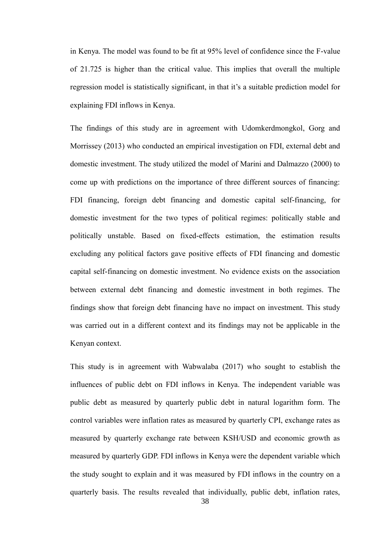in Kenya. The model was found to be fit at 95% level of confidence since the F-value of 21.725 is higher than the critical value. This implies that overall the multiple regression model is statistically significant, in that it's a suitable prediction model for explaining FDI inflows in Kenya.

The findings of this study are in agreement with Udomkerdmongkol, Gorg and Morrissey (2013) who conducted an empirical investigation on FDI, external debt and domestic investment. The study utilized the model of Marini and Dalmazzo (2000) to come up with predictions on the importance of three different sources of financing: FDI financing, foreign debt financing and domestic capital self-financing, for domestic investment for the two types of political regimes: politically stable and politically unstable. Based on fixed-effects estimation, the estimation results excluding any political factors gave positive effects of FDI financing and domestic capital self-financing on domestic investment. No evidence exists on the association between external debt financing and domestic investment in both regimes. The findings show that foreign debt financing have no impact on investment. This study was carried out in a different context and its findings may not be applicable in the Kenyan context.

This study is in agreement with Wabwalaba (2017) who sought to establish the influences of public debt on FDI inflows in Kenya. The independent variable was public debt as measured by quarterly public debt in natural logarithm form. The control variables were inflation rates as measured by quarterly CPI, exchange rates as measured by quarterly exchange rate between KSH/USD and economic growth as measured by quarterly GDP. FDI inflows in Kenya were the dependent variable which the study sought to explain and it was measured by FDI inflows in the country on a quarterly basis. The results revealed that individually, public debt, inflation rates,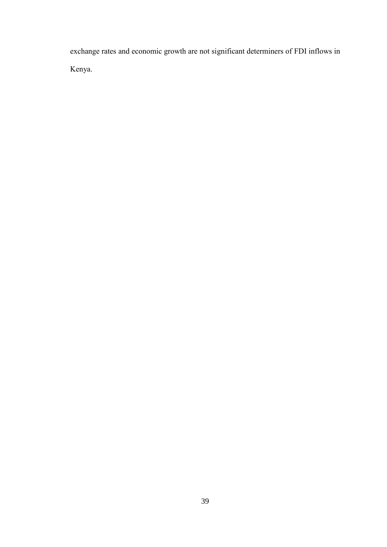exchange rates and economic growth are not significant determiners of FDI inflows in Kenya.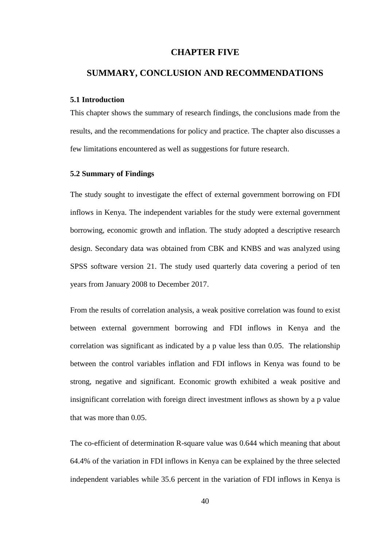### **CHAPTER FIVE**

### <span id="page-50-1"></span><span id="page-50-0"></span>**SUMMARY, CONCLUSION AND RECOMMENDATIONS**

### <span id="page-50-2"></span>**5.1 Introduction**

This chapter shows the summary of research findings, the conclusions made from the results, and the recommendations for policy and practice. The chapter also discusses a few limitations encountered as well as suggestions for future research.

### <span id="page-50-3"></span>**5.2 Summary of Findings**

The study sought to investigate the effect of external government borrowing on FDI inflows in Kenya. The independent variables for the study were external government borrowing, economic growth and inflation. The study adopted a descriptive research design. Secondary data was obtained from CBK and KNBS and was analyzed using SPSS software version 21. The study used quarterly data covering a period of ten years from January 2008 to December 2017.

From the results of correlation analysis, a weak positive correlation was found to exist between external government borrowing and FDI inflows in Kenya and the correlation was significant as indicated by a p value less than 0.05. The relationship between the control variables inflation and FDI inflows in Kenya was found to be strong, negative and significant. Economic growth exhibited a weak positive and insignificant correlation with foreign direct investment inflows as shown by a p value that was more than 0.05.

The co-efficient of determination R-square value was 0.644 which meaning that about 64.4% of the variation in FDI inflows in Kenya can be explained by the three selected independent variables while 35.6 percent in the variation of FDI inflows in Kenya is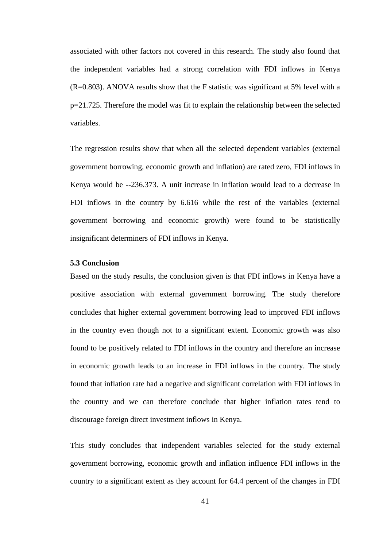associated with other factors not covered in this research. The study also found that the independent variables had a strong correlation with FDI inflows in Kenya (R=0.803). ANOVA results show that the F statistic was significant at 5% level with a p=21.725. Therefore the model was fit to explain the relationship between the selected variables.

The regression results show that when all the selected dependent variables (external government borrowing, economic growth and inflation) are rated zero, FDI inflows in Kenya would be --236.373. A unit increase in inflation would lead to a decrease in FDI inflows in the country by 6.616 while the rest of the variables (external government borrowing and economic growth) were found to be statistically insignificant determiners of FDI inflows in Kenya.

### <span id="page-51-0"></span>**5.3 Conclusion**

Based on the study results, the conclusion given is that FDI inflows in Kenya have a positive association with external government borrowing. The study therefore concludes that higher external government borrowing lead to improved FDI inflows in the country even though not to a significant extent. Economic growth was also found to be positively related to FDI inflows in the country and therefore an increase in economic growth leads to an increase in FDI inflows in the country. The study found that inflation rate had a negative and significant correlation with FDI inflows in the country and we can therefore conclude that higher inflation rates tend to discourage foreign direct investment inflows in Kenya.

This study concludes that independent variables selected for the study external government borrowing, economic growth and inflation influence FDI inflows in the country to a significant extent as they account for 64.4 percent of the changes in FDI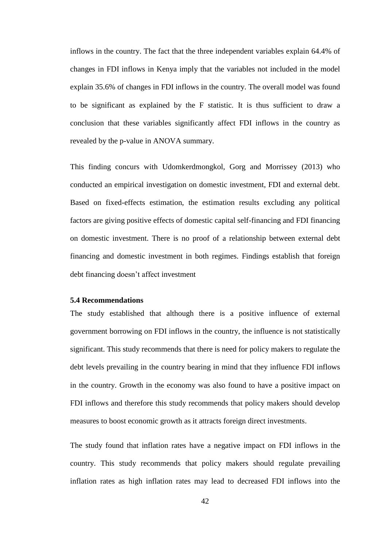inflows in the country. The fact that the three independent variables explain 64.4% of changes in FDI inflows in Kenya imply that the variables not included in the model explain 35.6% of changes in FDI inflows in the country. The overall model was found to be significant as explained by the F statistic. It is thus sufficient to draw a conclusion that these variables significantly affect FDI inflows in the country as revealed by the p-value in ANOVA summary.

This finding concurs with Udomkerdmongkol, Gorg and Morrissey (2013) who conducted an empirical investigation on domestic investment, FDI and external debt. Based on fixed-effects estimation, the estimation results excluding any political factors are giving positive effects of domestic capital self-financing and FDI financing on domestic investment. There is no proof of a relationship between external debt financing and domestic investment in both regimes. Findings establish that foreign debt financing doesn't affect investment

### <span id="page-52-0"></span>**5.4 Recommendations**

The study established that although there is a positive influence of external government borrowing on FDI inflows in the country, the influence is not statistically significant. This study recommends that there is need for policy makers to regulate the debt levels prevailing in the country bearing in mind that they influence FDI inflows in the country. Growth in the economy was also found to have a positive impact on FDI inflows and therefore this study recommends that policy makers should develop measures to boost economic growth as it attracts foreign direct investments.

The study found that inflation rates have a negative impact on FDI inflows in the country. This study recommends that policy makers should regulate prevailing inflation rates as high inflation rates may lead to decreased FDI inflows into the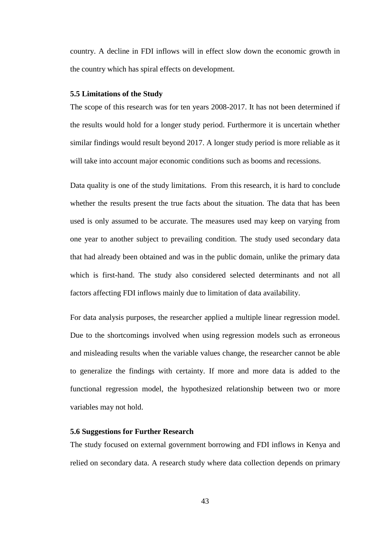country. A decline in FDI inflows will in effect slow down the economic growth in the country which has spiral effects on development.

### <span id="page-53-0"></span>**5.5 Limitations of the Study**

The scope of this research was for ten years 2008-2017. It has not been determined if the results would hold for a longer study period. Furthermore it is uncertain whether similar findings would result beyond 2017. A longer study period is more reliable as it will take into account major economic conditions such as booms and recessions.

Data quality is one of the study limitations. From this research, it is hard to conclude whether the results present the true facts about the situation. The data that has been used is only assumed to be accurate. The measures used may keep on varying from one year to another subject to prevailing condition. The study used secondary data that had already been obtained and was in the public domain, unlike the primary data which is first-hand. The study also considered selected determinants and not all factors affecting FDI inflows mainly due to limitation of data availability.

For data analysis purposes, the researcher applied a multiple linear regression model. Due to the shortcomings involved when using regression models such as erroneous and misleading results when the variable values change, the researcher cannot be able to generalize the findings with certainty. If more and more data is added to the functional regression model, the hypothesized relationship between two or more variables may not hold.

### <span id="page-53-1"></span>**5.6 Suggestions for Further Research**

The study focused on external government borrowing and FDI inflows in Kenya and relied on secondary data. A research study where data collection depends on primary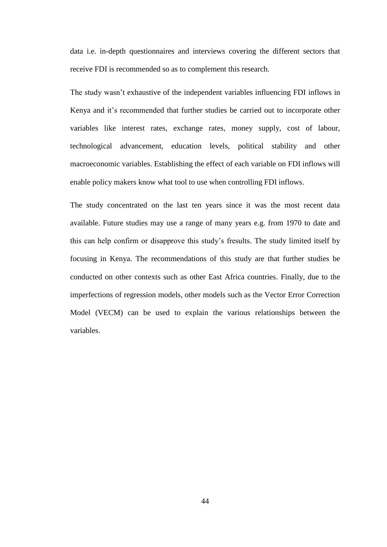data i.e. in-depth questionnaires and interviews covering the different sectors that receive FDI is recommended so as to complement this research.

The study wasn't exhaustive of the independent variables influencing FDI inflows in Kenya and it's recommended that further studies be carried out to incorporate other variables like interest rates, exchange rates, money supply, cost of labour, technological advancement, education levels, political stability and other macroeconomic variables. Establishing the effect of each variable on FDI inflows will enable policy makers know what tool to use when controlling FDI inflows.

The study concentrated on the last ten years since it was the most recent data available. Future studies may use a range of many years e.g. from 1970 to date and this can help confirm or disapprove this study's fresults. The study limited itself by focusing in Kenya. The recommendations of this study are that further studies be conducted on other contexts such as other East Africa countries. Finally, due to the imperfections of regression models, other models such as the Vector Error Correction Model (VECM) can be used to explain the various relationships between the variables.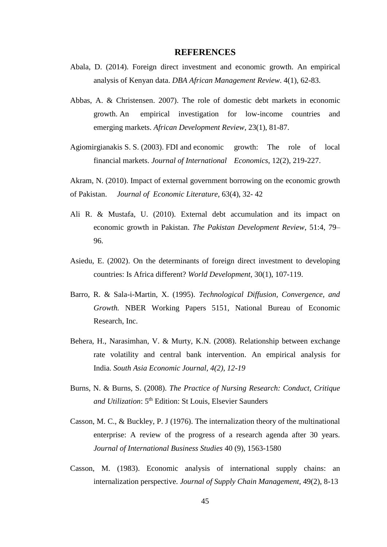### **REFERENCES**

- <span id="page-55-0"></span>Abala, D. (2014). Foreign direct investment and economic growth. An empirical analysis of Kenyan data. *DBA African Management Review*. 4(1), 62-83.
- Abbas, A. & Christensen. 2007). The role of domestic debt markets in economic growth. An empirical investigation for low-income countries and emerging markets. *African Development Review,* 23(1), 81-87.
- Agiomirgianakis S. S. (2003). FDI and economic growth: The role of local financial markets. *Journal of International Economics*, 12(2), 219-227.

Akram, N. (2010). Impact of external government borrowing on the economic growth of Pakistan. *Journal of Economic Literature,* 63(4), 32- 42

- Ali R. & Mustafa, U. (2010). External debt accumulation and its impact on economic growth in Pakistan. *The Pakistan Development Review*, 51:4, 79– 96.
- Asiedu, E. (2002). On the determinants of foreign direct investment to developing countries: Is Africa different? *World Development*, 30(1), 107-119.
- Barro, R. & Sala-i-Martin, X. (1995). *Technological Diffusion, Convergence, and Growth.* NBER Working Papers 5151, National Bureau of Economic Research, Inc.
- Behera, H., Narasimhan, V. & Murty, K.N. (2008). Relationship between exchange rate volatility and central bank intervention. An empirical analysis for India. *South Asia Economic Journal, 4(2), 12-19*
- Burns, N. & Burns, S. (2008). *The Practice of Nursing Research: Conduct, Critique and Utilization*: 5th Edition: St Louis, Elsevier Saunders
- Casson, M. C., & Buckley, P. J (1976). The internalization theory of the multinational enterprise: A review of the progress of a research agenda after 30 years. *Journal of International Business Studies* 40 (9), 1563-1580
- Casson, M. (1983). Economic analysis of international supply chains: an internalization perspective. *Journal of Supply Chain Management*, 49(2), 8-13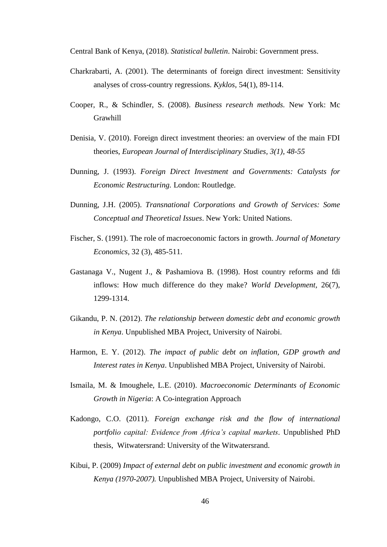Central Bank of Kenya, (2018). *Statistical bulletin*. Nairobi: Government press.

- Charkrabarti, A. (2001). The determinants of foreign direct investment: Sensitivity analyses of cross-country regressions. *Kyklos*, 54(1), 89-114.
- Cooper, R., & Schindler, S. (2008). *Business research methods.* New York: Mc Grawhill
- Denisia, V. (2010). Foreign direct investment theories: an overview of the main FDI theories, *European Journal of Interdisciplinary Studies, 3(1), 48-55*
- Dunning, J. (1993). *Foreign Direct Investment and Governments: Catalysts for Economic Restructuring.* London: Routledge.
- Dunning, J.H. (2005). *Transnational Corporations and Growth of Services: Some Conceptual and Theoretical Issues*. New York: United Nations.
- Fischer, S. (1991). The role of macroeconomic factors in growth. *Journal of Monetary Economics,* 32 (3), 485-511.
- Gastanaga V., Nugent J., & Pashamiova B. (1998). Host country reforms and fdi inflows: How much difference do they make? *World Development,* 26(7), 1299-1314.
- Gikandu, P. N. (2012). *The relationship between domestic debt and economic growth in Kenya*. Unpublished MBA Project, University of Nairobi.
- Harmon, E. Y. (2012). *The impact of public debt on inflation, GDP growth and Interest rates in Kenya*. Unpublished MBA Project, University of Nairobi.
- Ismaila, M. & Imoughele, L.E. (2010). *Macroeconomic Determinants of Economic Growth in Nigeria*: A Co-integration Approach
- Kadongo, C.O. (2011). *Foreign exchange risk and the flow of international portfolio capital: Evidence from Africa's capital markets.* Unpublished PhD thesis, Witwatersrand: University of the Witwatersrand.
- Kibui, P. (2009) *Impact of external debt on public investment and economic growth in Kenya (1970-2007).* Unpublished MBA Project, University of Nairobi.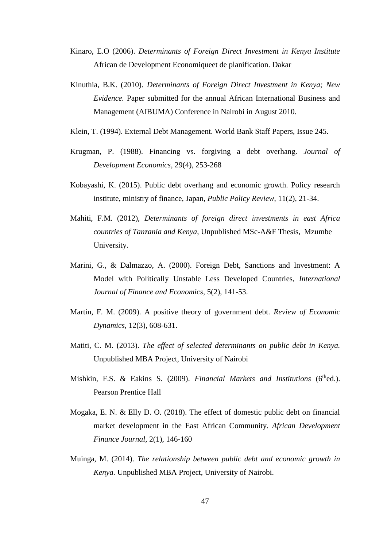- Kinaro, E.O (2006). *Determinants of Foreign Direct Investment in Kenya Institute* African de Development Economiqueet de planification. Dakar
- Kinuthia, B.K. (2010). *Determinants of Foreign Direct Investment in Kenya; New Evidence.* Paper submitted for the annual African International Business and Management (AIBUMA) Conference in Nairobi in August 2010.
- Klein, T. (1994). External Debt Management. World Bank Staff Papers, Issue 245.
- Krugman, P. (1988). Financing vs. forgiving a debt overhang. *Journal of Development Economics*, 29(4), 253-268
- Kobayashi, K. (2015). Public debt overhang and economic growth. Policy research institute, ministry of finance, Japan, *Public Policy Review*, 11(2), 21-34.
- Mahiti, F.M. (2012), *Determinants of foreign direct investments in east Africa countries of Tanzania and Kenya*, Unpublished MSc-A&F Thesis, Mzumbe University.
- Marini, G., & Dalmazzo, A. (2000). Foreign Debt, Sanctions and Investment: A Model with Politically Unstable Less Developed Countries, *International Journal of Finance and Economics,* 5(2), 141-53.
- Martin, F. M. (2009). A positive theory of government debt. *Review of Economic Dynamics,* 12(3), 608-631.
- Matiti, C. M. (2013). *The effect of selected determinants on public debt in Kenya.* Unpublished MBA Project, University of Nairobi
- Mishkin, F.S. & Eakins S. (2009). *Financial Markets and Institutions* (6<sup>th</sup>ed.). Pearson Prentice Hall
- Mogaka, E. N. & Elly D. O. (2018). The effect of domestic public debt on financial market development in the East African Community. *African Development Finance Journal,* 2(1), 146-160
- Muinga, M. (2014). *The relationship between public debt and economic growth in Kenya.* Unpublished MBA Project, University of Nairobi.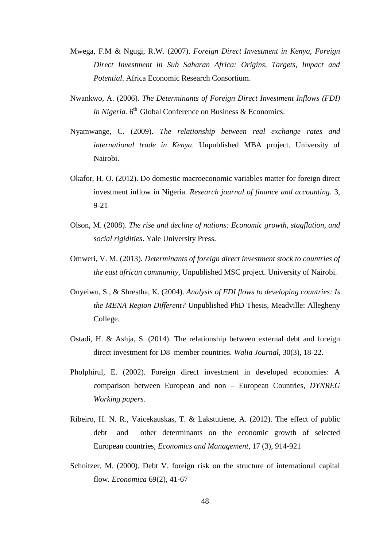- Mwega, F.M & Ngugi, R.W. (2007). *Foreign Direct Investment in Kenya, Foreign Direct Investment in Sub Saharan Africa: Origins, Targets, Impact and Potential*. Africa Economic Research Consortium.
- Nwankwo, A. (2006). *The Determinants of Foreign Direct Investment Inflows (FDI)*  in Nigeria. 6<sup>th</sup> Global Conference on Business & Economics.
- Nyamwange, C. (2009). *The relationship between real exchange rates and international trade in Kenya*. Unpublished MBA project. University of Nairobi.
- Okafor, H. O. (2012). Do domestic macroeconomic variables matter for foreign direct investment inflow in Nigeria. *Research journal of finance and accounting.* 3, 9-21
- Olson, M. (2008). *The rise and decline of nations: Economic growth, stagflation, and social rigidities*. Yale University Press.
- Omweri, V. M. (2013). *Determinants of foreign direct investment stock to countries of the east african community,* Unpublished MSC project. University of Nairobi*.*
- Onyeiwu, S., & Shrestha, K. (2004). *Analysis of FDI flows to developing countries: Is the MENA Region Different?* Unpublished PhD Thesis, Meadville: Allegheny College.
- Ostadi, H. & Ashja, S. (2014). The relationship between external debt and foreign direct investment for D8 member countries. *Walia Journal,* 30(3), 18-22.
- Pholphirul, E. (2002). Foreign direct investment in developed economies: A comparison between European and non – European Countries, *DYNREG Working papers.*
- Ribeiro, H. N. R., Vaicekauskas, T. & Lakstutiene, A. (2012). The effect of public debt and other determinants on the economic growth of selected European countries, *Economics and Management*, 17 (3), 914-921
- Schnitzer, M. (2000). Debt V. foreign risk on the structure of international capital flow. *Economica* 69(2), 41-67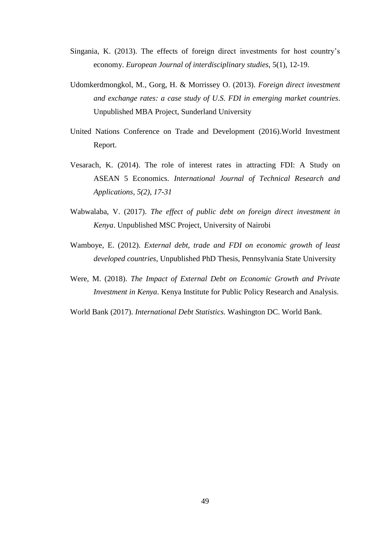- Singania, K. (2013). The effects of foreign direct investments for host country's economy. *European Journal of interdisciplinary studies*, 5(1), 12-19.
- Udomkerdmongkol, M., Gorg, H. & Morrissey O. (2013). *Foreign direct investment and exchange rates: a case study of U.S. FDI in emerging market countries*. Unpublished MBA Project, Sunderland University
- United Nations Conference on Trade and Development (2016).World Investment Report.
- Vesarach, K. (2014). The role of interest rates in attracting FDI: A Study on ASEAN 5 Economics. *International Journal of Technical Research and Applications, 5(2), 17-31*
- Wabwalaba, V. (2017). *The effect of public debt on foreign direct investment in Kenya*. Unpublished MSC Project, University of Nairobi
- Wamboye, E. (2012). *External debt, trade and FDI on economic growth of least developed countries*, Unpublished PhD Thesis, Pennsylvania State University
- Were, M. (2018). *The Impact of External Debt on Economic Growth and Private Investment in Kenya*. Kenya Institute for Public Policy Research and Analysis.

World Bank (2017). *International Debt Statistics.* Washington DC. World Bank.